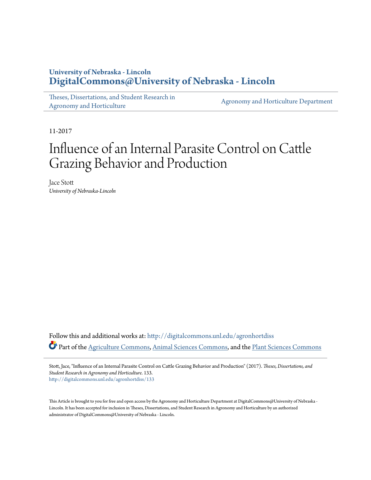## **University of Nebraska - Lincoln [DigitalCommons@University of Nebraska - Lincoln](http://digitalcommons.unl.edu?utm_source=digitalcommons.unl.edu%2Fagronhortdiss%2F133&utm_medium=PDF&utm_campaign=PDFCoverPages)**

[Theses, Dissertations, and Student Research in](http://digitalcommons.unl.edu/agronhortdiss?utm_source=digitalcommons.unl.edu%2Fagronhortdiss%2F133&utm_medium=PDF&utm_campaign=PDFCoverPages) [Agronomy and Horticulture](http://digitalcommons.unl.edu/agronhortdiss?utm_source=digitalcommons.unl.edu%2Fagronhortdiss%2F133&utm_medium=PDF&utm_campaign=PDFCoverPages)

[Agronomy and Horticulture Department](http://digitalcommons.unl.edu/ag_agron?utm_source=digitalcommons.unl.edu%2Fagronhortdiss%2F133&utm_medium=PDF&utm_campaign=PDFCoverPages)

11-2017

# Influence of an Internal Parasite Control on Cattle Grazing Behavior and Production

Jace Stott *University of Nebraska-Lincoln*

Follow this and additional works at: [http://digitalcommons.unl.edu/agronhortdiss](http://digitalcommons.unl.edu/agronhortdiss?utm_source=digitalcommons.unl.edu%2Fagronhortdiss%2F133&utm_medium=PDF&utm_campaign=PDFCoverPages) Part of the [Agriculture Commons](http://network.bepress.com/hgg/discipline/1076?utm_source=digitalcommons.unl.edu%2Fagronhortdiss%2F133&utm_medium=PDF&utm_campaign=PDFCoverPages), [Animal Sciences Commons,](http://network.bepress.com/hgg/discipline/76?utm_source=digitalcommons.unl.edu%2Fagronhortdiss%2F133&utm_medium=PDF&utm_campaign=PDFCoverPages) and the [Plant Sciences Commons](http://network.bepress.com/hgg/discipline/102?utm_source=digitalcommons.unl.edu%2Fagronhortdiss%2F133&utm_medium=PDF&utm_campaign=PDFCoverPages)

Stott, Jace, "Influence of an Internal Parasite Control on Cattle Grazing Behavior and Production" (2017). *Theses, Dissertations, and Student Research in Agronomy and Horticulture*. 133. [http://digitalcommons.unl.edu/agronhortdiss/133](http://digitalcommons.unl.edu/agronhortdiss/133?utm_source=digitalcommons.unl.edu%2Fagronhortdiss%2F133&utm_medium=PDF&utm_campaign=PDFCoverPages)

This Article is brought to you for free and open access by the Agronomy and Horticulture Department at DigitalCommons@University of Nebraska -Lincoln. It has been accepted for inclusion in Theses, Dissertations, and Student Research in Agronomy and Horticulture by an authorized administrator of DigitalCommons@University of Nebraska - Lincoln.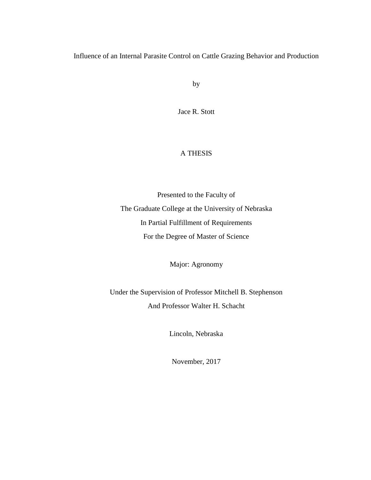Influence of an Internal Parasite Control on Cattle Grazing Behavior and Production

by

Jace R. Stott

## A THESIS

Presented to the Faculty of The Graduate College at the University of Nebraska In Partial Fulfillment of Requirements For the Degree of Master of Science

Major: Agronomy

Under the Supervision of Professor Mitchell B. Stephenson And Professor Walter H. Schacht

Lincoln, Nebraska

November, 2017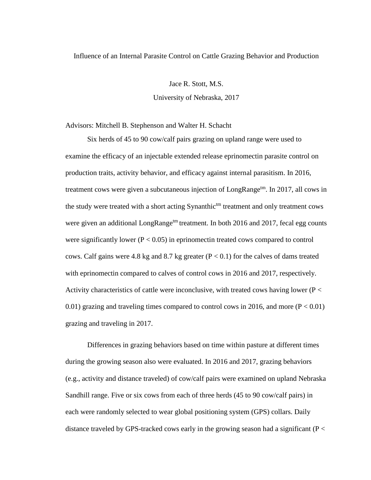## Influence of an Internal Parasite Control on Cattle Grazing Behavior and Production

Jace R. Stott, M.S.

University of Nebraska, 2017

Advisors: Mitchell B. Stephenson and Walter H. Schacht

Six herds of 45 to 90 cow/calf pairs grazing on upland range were used to examine the efficacy of an injectable extended release eprinomectin parasite control on production traits, activity behavior, and efficacy against internal parasitism. In 2016, treatment cows were given a subcutaneous injection of LongRange<sup>tm</sup>. In 2017, all cows in the study were treated with a short acting Synanthic<sup>tm</sup> treatment and only treatment cows were given an additional LongRange<sup>tm</sup> treatment. In both 2016 and 2017, fecal egg counts were significantly lower ( $P < 0.05$ ) in eprinomectin treated cows compared to control cows. Calf gains were 4.8 kg and 8.7 kg greater ( $P < 0.1$ ) for the calves of dams treated with eprinomectin compared to calves of control cows in 2016 and 2017, respectively. Activity characteristics of cattle were inconclusive, with treated cows having lower ( $P <$ 0.01) grazing and traveling times compared to control cows in 2016, and more ( $P < 0.01$ ) grazing and traveling in 2017.

Differences in grazing behaviors based on time within pasture at different times during the growing season also were evaluated. In 2016 and 2017, grazing behaviors (e.g., activity and distance traveled) of cow/calf pairs were examined on upland Nebraska Sandhill range. Five or six cows from each of three herds (45 to 90 cow/calf pairs) in each were randomly selected to wear global positioning system (GPS) collars. Daily distance traveled by GPS-tracked cows early in the growing season had a significant ( $P \lt \theta$ )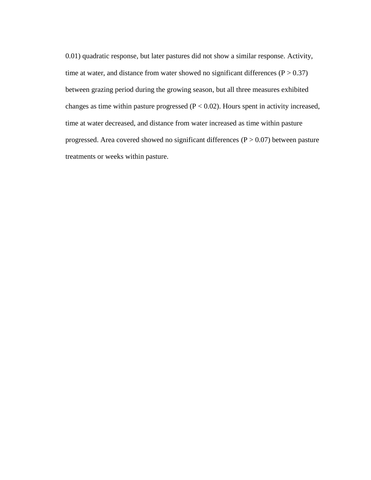0.01) quadratic response, but later pastures did not show a similar response. Activity, time at water, and distance from water showed no significant differences  $(P > 0.37)$ between grazing period during the growing season, but all three measures exhibited changes as time within pasture progressed ( $P < 0.02$ ). Hours spent in activity increased, time at water decreased, and distance from water increased as time within pasture progressed. Area covered showed no significant differences  $(P > 0.07)$  between pasture treatments or weeks within pasture.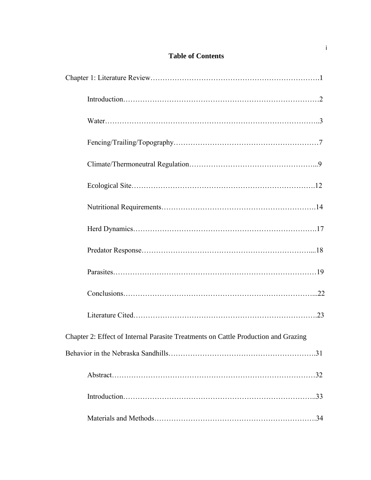## **Table of Contents**

| Chapter 2: Effect of Internal Parasite Treatments on Cattle Production and Grazing |
|------------------------------------------------------------------------------------|
|                                                                                    |
|                                                                                    |
|                                                                                    |
|                                                                                    |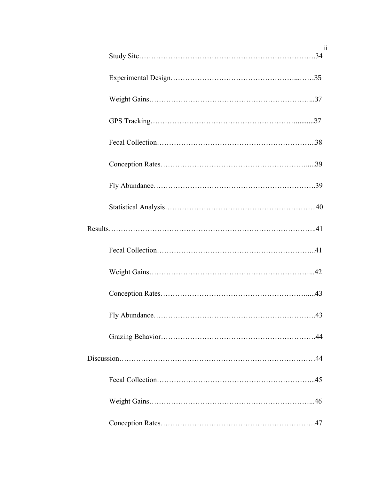| Ϊİ  |  |
|-----|--|
|     |  |
|     |  |
|     |  |
|     |  |
|     |  |
|     |  |
|     |  |
|     |  |
|     |  |
|     |  |
|     |  |
|     |  |
| .43 |  |
|     |  |
|     |  |
|     |  |
|     |  |
|     |  |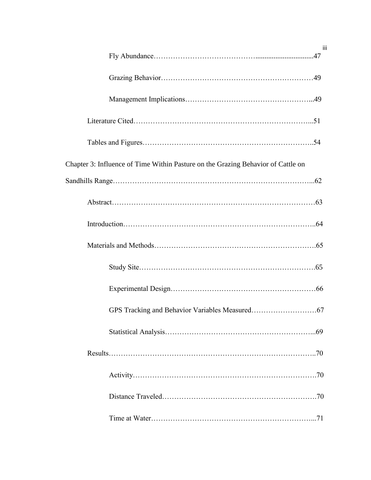| iii                                                                              |
|----------------------------------------------------------------------------------|
|                                                                                  |
|                                                                                  |
|                                                                                  |
|                                                                                  |
| Chapter 3: Influence of Time Within Pasture on the Grazing Behavior of Cattle on |
|                                                                                  |
|                                                                                  |
|                                                                                  |
|                                                                                  |
|                                                                                  |
|                                                                                  |
|                                                                                  |
|                                                                                  |
|                                                                                  |
|                                                                                  |
|                                                                                  |
|                                                                                  |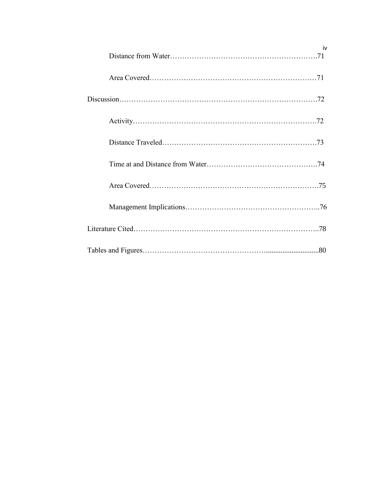| iv |
|----|
|    |
|    |
|    |
|    |
|    |
|    |
|    |
|    |
|    |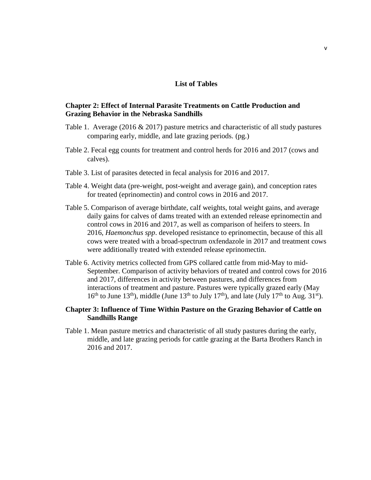## **List of Tables**

## **Chapter 2: Effect of Internal Parasite Treatments on Cattle Production and Grazing Behavior in the Nebraska Sandhills**

- Table 1. Average (2016  $\&$  2017) pasture metrics and characteristic of all study pastures comparing early, middle, and late grazing periods. (pg.)
- Table 2. Fecal egg counts for treatment and control herds for 2016 and 2017 (cows and calves).
- Table 3. List of parasites detected in fecal analysis for 2016 and 2017.
- Table 4. Weight data (pre-weight, post-weight and average gain), and conception rates for treated (eprinomectin) and control cows in 2016 and 2017.
- Table 5. Comparison of average birthdate, calf weights, total weight gains, and average daily gains for calves of dams treated with an extended release eprinomectin and control cows in 2016 and 2017, as well as comparison of heifers to steers. In 2016, *Haemonchus spp*. developed resistance to eprinomectin, because of this all cows were treated with a broad-spectrum oxfendazole in 2017 and treatment cows were additionally treated with extended release eprinomectin.
- Table 6. Activity metrics collected from GPS collared cattle from mid-May to mid-September. Comparison of activity behaviors of treated and control cows for 2016 and 2017, differences in activity between pastures, and differences from interactions of treatment and pasture. Pastures were typically grazed early (May  $16<sup>th</sup>$  to June 13<sup>th</sup>), middle (June 13<sup>th</sup> to July 17<sup>th</sup>), and late (July 17<sup>th</sup> to Aug. 31<sup>st</sup>).

## **Chapter 3: Influence of Time Within Pasture on the Grazing Behavior of Cattle on Sandhills Range**

Table 1. Mean pasture metrics and characteristic of all study pastures during the early, middle, and late grazing periods for cattle grazing at the Barta Brothers Ranch in 2016 and 2017.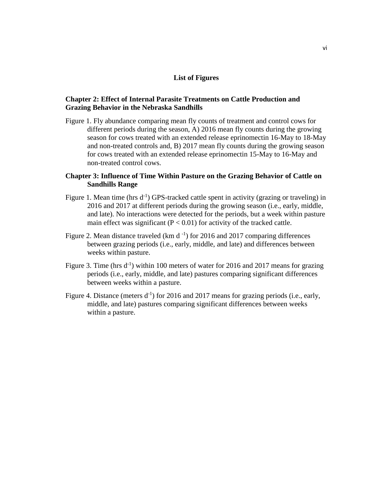## **List of Figures**

## **Chapter 2: Effect of Internal Parasite Treatments on Cattle Production and Grazing Behavior in the Nebraska Sandhills**

Figure 1. Fly abundance comparing mean fly counts of treatment and control cows for different periods during the season, A) 2016 mean fly counts during the growing season for cows treated with an extended release eprinomectin 16-May to 18-May and non-treated controls and, B) 2017 mean fly counts during the growing season for cows treated with an extended release eprinomectin 15-May to 16-May and non-treated control cows.

## **Chapter 3: Influence of Time Within Pasture on the Grazing Behavior of Cattle on Sandhills Range**

- Figure 1. Mean time (hrs  $d^{-1}$ ) GPS-tracked cattle spent in activity (grazing or traveling) in 2016 and 2017 at different periods during the growing season (i.e., early, middle, and late). No interactions were detected for the periods, but a week within pasture main effect was significant ( $P < 0.01$ ) for activity of the tracked cattle.
- Figure 2. Mean distance traveled  $(km d^{-1})$  for 2016 and 2017 comparing differences between grazing periods (i.e., early, middle, and late) and differences between weeks within pasture.
- Figure 3. Time (hrs  $d^{-1}$ ) within 100 meters of water for 2016 and 2017 means for grazing periods (i.e., early, middle, and late) pastures comparing significant differences between weeks within a pasture.
- Figure 4. Distance (meters  $d^{-1}$ ) for 2016 and 2017 means for grazing periods (i.e., early, middle, and late) pastures comparing significant differences between weeks within a pasture.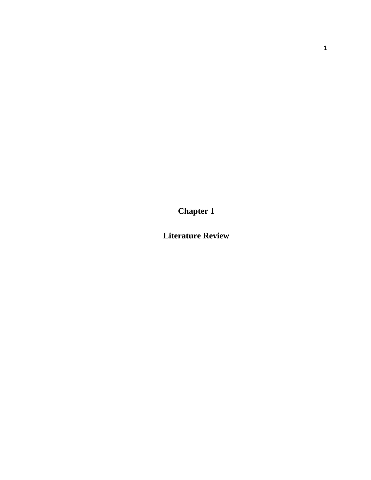**Chapter 1**

**Literature Review**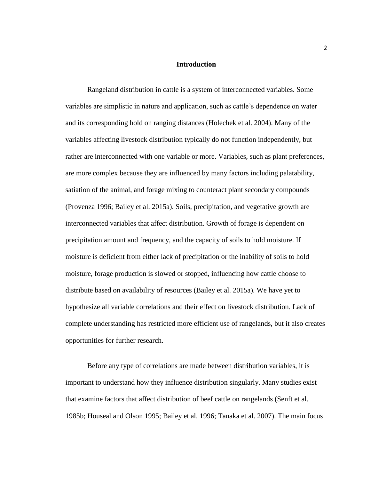#### **Introduction**

Rangeland distribution in cattle is a system of interconnected variables. Some variables are simplistic in nature and application, such as cattle's dependence on water and its corresponding hold on ranging distances (Holechek et al. 2004). Many of the variables affecting livestock distribution typically do not function independently, but rather are interconnected with one variable or more. Variables, such as plant preferences, are more complex because they are influenced by many factors including palatability, satiation of the animal, and forage mixing to counteract plant secondary compounds (Provenza 1996; Bailey et al. 2015a). Soils, precipitation, and vegetative growth are interconnected variables that affect distribution. Growth of forage is dependent on precipitation amount and frequency, and the capacity of soils to hold moisture. If moisture is deficient from either lack of precipitation or the inability of soils to hold moisture, forage production is slowed or stopped, influencing how cattle choose to distribute based on availability of resources (Bailey et al. 2015a). We have yet to hypothesize all variable correlations and their effect on livestock distribution. Lack of complete understanding has restricted more efficient use of rangelands, but it also creates opportunities for further research.

Before any type of correlations are made between distribution variables, it is important to understand how they influence distribution singularly. Many studies exist that examine factors that affect distribution of beef cattle on rangelands (Senft et al. 1985b; Houseal and Olson 1995; Bailey et al. 1996; Tanaka et al. 2007). The main focus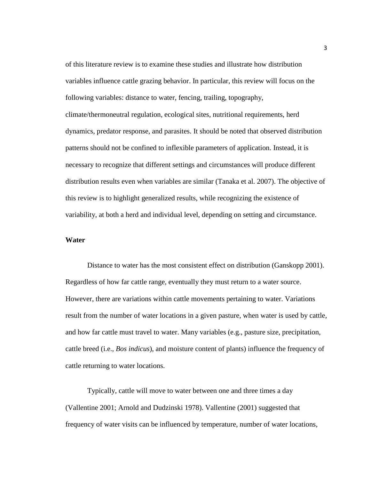of this literature review is to examine these studies and illustrate how distribution variables influence cattle grazing behavior. In particular, this review will focus on the following variables: distance to water, fencing, trailing, topography, climate/thermoneutral regulation, ecological sites, nutritional requirements, herd dynamics, predator response, and parasites. It should be noted that observed distribution patterns should not be confined to inflexible parameters of application. Instead, it is necessary to recognize that different settings and circumstances will produce different distribution results even when variables are similar (Tanaka et al. 2007). The objective of this review is to highlight generalized results, while recognizing the existence of variability, at both a herd and individual level, depending on setting and circumstance.

## **Water**

Distance to water has the most consistent effect on distribution (Ganskopp 2001). Regardless of how far cattle range, eventually they must return to a water source. However, there are variations within cattle movements pertaining to water. Variations result from the number of water locations in a given pasture, when water is used by cattle, and how far cattle must travel to water. Many variables (e.g., pasture size, precipitation, cattle breed (i.e., *Bos indicus*), and moisture content of plants) influence the frequency of cattle returning to water locations.

Typically, cattle will move to water between one and three times a day (Vallentine 2001; Arnold and Dudzinski 1978). Vallentine (2001) suggested that frequency of water visits can be influenced by temperature, number of water locations,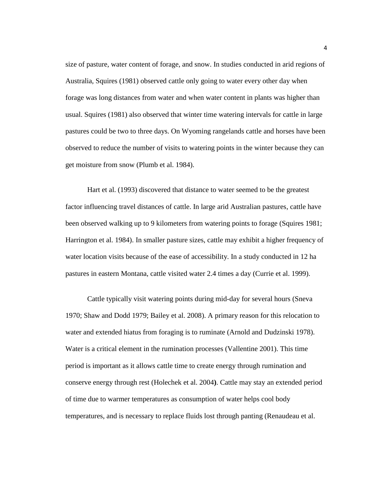size of pasture, water content of forage, and snow. In studies conducted in arid regions of Australia, Squires (1981) observed cattle only going to water every other day when forage was long distances from water and when water content in plants was higher than usual. Squires (1981) also observed that winter time watering intervals for cattle in large pastures could be two to three days. On Wyoming rangelands cattle and horses have been observed to reduce the number of visits to watering points in the winter because they can get moisture from snow (Plumb et al. 1984).

Hart et al. (1993) discovered that distance to water seemed to be the greatest factor influencing travel distances of cattle. In large arid Australian pastures, cattle have been observed walking up to 9 kilometers from watering points to forage (Squires 1981; Harrington et al. 1984). In smaller pasture sizes, cattle may exhibit a higher frequency of water location visits because of the ease of accessibility. In a study conducted in 12 ha pastures in eastern Montana, cattle visited water 2.4 times a day (Currie et al. 1999).

Cattle typically visit watering points during mid-day for several hours (Sneva 1970; Shaw and Dodd 1979; Bailey et al. 2008). A primary reason for this relocation to water and extended hiatus from foraging is to ruminate (Arnold and Dudzinski 1978). Water is a critical element in the rumination processes (Vallentine 2001). This time period is important as it allows cattle time to create energy through rumination and conserve energy through rest (Holechek et al. 2004**)**. Cattle may stay an extended period of time due to warmer temperatures as consumption of water helps cool body temperatures, and is necessary to replace fluids lost through panting (Renaudeau et al.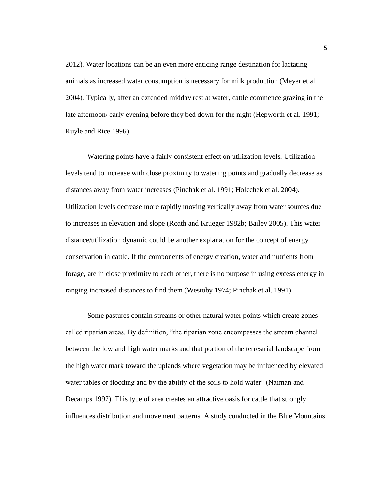2012). Water locations can be an even more enticing range destination for lactating animals as increased water consumption is necessary for milk production (Meyer et al. 2004). Typically, after an extended midday rest at water, cattle commence grazing in the late afternoon/ early evening before they bed down for the night (Hepworth et al. 1991; Ruyle and Rice 1996).

Watering points have a fairly consistent effect on utilization levels. Utilization levels tend to increase with close proximity to watering points and gradually decrease as distances away from water increases (Pinchak et al. 1991; Holechek et al. 2004). Utilization levels decrease more rapidly moving vertically away from water sources due to increases in elevation and slope (Roath and Krueger 1982b; Bailey 2005). This water distance/utilization dynamic could be another explanation for the concept of energy conservation in cattle. If the components of energy creation, water and nutrients from forage, are in close proximity to each other, there is no purpose in using excess energy in ranging increased distances to find them (Westoby 1974; Pinchak et al. 1991).

Some pastures contain streams or other natural water points which create zones called riparian areas. By definition, "the riparian zone encompasses the stream channel between the low and high water marks and that portion of the terrestrial landscape from the high water mark toward the uplands where vegetation may be influenced by elevated water tables or flooding and by the ability of the soils to hold water" (Naiman and Decamps 1997). This type of area creates an attractive oasis for cattle that strongly influences distribution and movement patterns. A study conducted in the Blue Mountains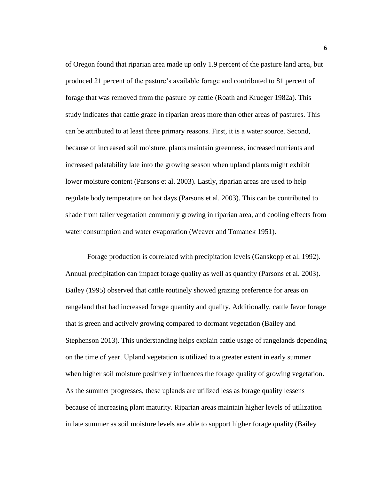of Oregon found that riparian area made up only 1.9 percent of the pasture land area, but produced 21 percent of the pasture's available forage and contributed to 81 percent of forage that was removed from the pasture by cattle (Roath and Krueger 1982a). This study indicates that cattle graze in riparian areas more than other areas of pastures. This can be attributed to at least three primary reasons. First, it is a water source. Second, because of increased soil moisture, plants maintain greenness, increased nutrients and increased palatability late into the growing season when upland plants might exhibit lower moisture content (Parsons et al. 2003). Lastly, riparian areas are used to help regulate body temperature on hot days (Parsons et al. 2003). This can be contributed to shade from taller vegetation commonly growing in riparian area, and cooling effects from water consumption and water evaporation (Weaver and Tomanek 1951).

Forage production is correlated with precipitation levels (Ganskopp et al. 1992). Annual precipitation can impact forage quality as well as quantity (Parsons et al. 2003). Bailey (1995) observed that cattle routinely showed grazing preference for areas on rangeland that had increased forage quantity and quality. Additionally, cattle favor forage that is green and actively growing compared to dormant vegetation (Bailey and Stephenson 2013). This understanding helps explain cattle usage of rangelands depending on the time of year. Upland vegetation is utilized to a greater extent in early summer when higher soil moisture positively influences the forage quality of growing vegetation. As the summer progresses, these uplands are utilized less as forage quality lessens because of increasing plant maturity. Riparian areas maintain higher levels of utilization in late summer as soil moisture levels are able to support higher forage quality (Bailey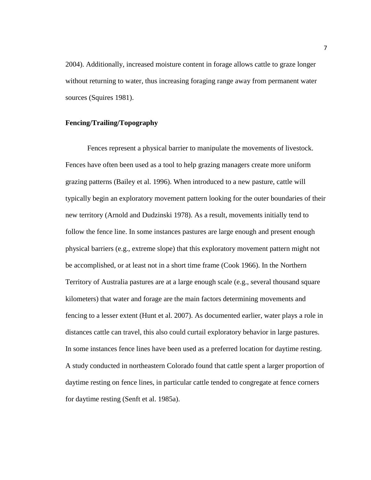2004). Additionally, increased moisture content in forage allows cattle to graze longer without returning to water, thus increasing foraging range away from permanent water sources (Squires 1981).

#### **Fencing/Trailing/Topography**

Fences represent a physical barrier to manipulate the movements of livestock. Fences have often been used as a tool to help grazing managers create more uniform grazing patterns (Bailey et al. 1996). When introduced to a new pasture, cattle will typically begin an exploratory movement pattern looking for the outer boundaries of their new territory (Arnold and Dudzinski 1978). As a result, movements initially tend to follow the fence line. In some instances pastures are large enough and present enough physical barriers (e.g., extreme slope) that this exploratory movement pattern might not be accomplished, or at least not in a short time frame (Cook 1966). In the Northern Territory of Australia pastures are at a large enough scale (e.g., several thousand square kilometers) that water and forage are the main factors determining movements and fencing to a lesser extent (Hunt et al. 2007). As documented earlier, water plays a role in distances cattle can travel, this also could curtail exploratory behavior in large pastures. In some instances fence lines have been used as a preferred location for daytime resting. A study conducted in northeastern Colorado found that cattle spent a larger proportion of daytime resting on fence lines, in particular cattle tended to congregate at fence corners for daytime resting (Senft et al. 1985a).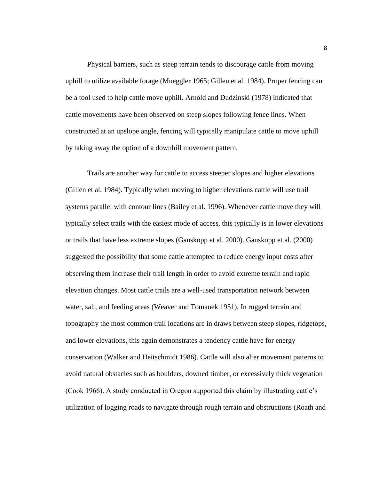Physical barriers, such as steep terrain tends to discourage cattle from moving uphill to utilize available forage (Mueggler 1965; Gillen et al. 1984). Proper fencing can be a tool used to help cattle move uphill. Arnold and Dudzinski (1978) indicated that cattle movements have been observed on steep slopes following fence lines. When constructed at an upslope angle, fencing will typically manipulate cattle to move uphill by taking away the option of a downhill movement pattern.

Trails are another way for cattle to access steeper slopes and higher elevations (Gillen et al. 1984). Typically when moving to higher elevations cattle will use trail systems parallel with contour lines (Bailey et al. 1996). Whenever cattle move they will typically select trails with the easiest mode of access, this typically is in lower elevations or trails that have less extreme slopes (Ganskopp et al. 2000). Ganskopp et al. (2000) suggested the possibility that some cattle attempted to reduce energy input costs after observing them increase their trail length in order to avoid extreme terrain and rapid elevation changes. Most cattle trails are a well-used transportation network between water, salt, and feeding areas (Weaver and Tomanek 1951). In rugged terrain and topography the most common trail locations are in draws between steep slopes, ridgetops, and lower elevations, this again demonstrates a tendency cattle have for energy conservation (Walker and Heitschmidt 1986). Cattle will also alter movement patterns to avoid natural obstacles such as boulders, downed timber, or excessively thick vegetation (Cook 1966). A study conducted in Oregon supported this claim by illustrating cattle's utilization of logging roads to navigate through rough terrain and obstructions (Roath and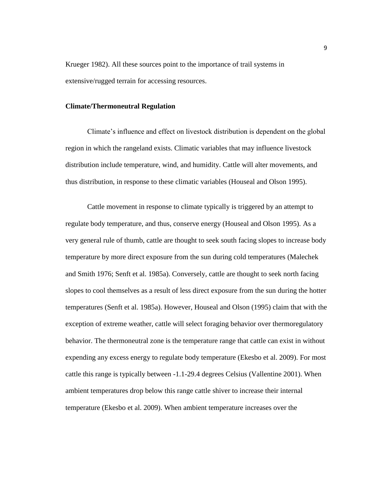Krueger 1982). All these sources point to the importance of trail systems in extensive/rugged terrain for accessing resources.

#### **Climate/Thermoneutral Regulation**

Climate's influence and effect on livestock distribution is dependent on the global region in which the rangeland exists. Climatic variables that may influence livestock distribution include temperature, wind, and humidity. Cattle will alter movements, and thus distribution, in response to these climatic variables (Houseal and Olson 1995).

Cattle movement in response to climate typically is triggered by an attempt to regulate body temperature, and thus, conserve energy (Houseal and Olson 1995). As a very general rule of thumb, cattle are thought to seek south facing slopes to increase body temperature by more direct exposure from the sun during cold temperatures (Malechek and Smith 1976; Senft et al. 1985a). Conversely, cattle are thought to seek north facing slopes to cool themselves as a result of less direct exposure from the sun during the hotter temperatures (Senft et al. 1985a). However, Houseal and Olson (1995) claim that with the exception of extreme weather, cattle will select foraging behavior over thermoregulatory behavior. The thermoneutral zone is the temperature range that cattle can exist in without expending any excess energy to regulate body temperature (Ekesbo et al. 2009). For most cattle this range is typically between -1.1-29.4 degrees Celsius (Vallentine 2001). When ambient temperatures drop below this range cattle shiver to increase their internal temperature (Ekesbo et al. 2009). When ambient temperature increases over the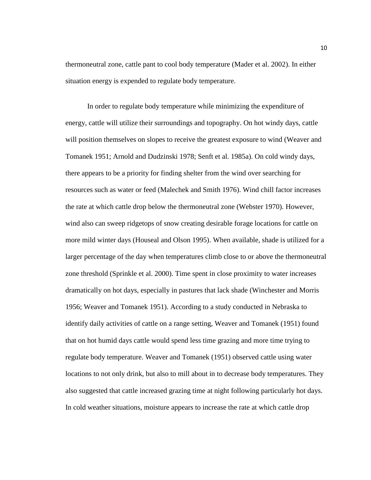thermoneutral zone, cattle pant to cool body temperature (Mader et al. 2002). In either situation energy is expended to regulate body temperature.

In order to regulate body temperature while minimizing the expenditure of energy, cattle will utilize their surroundings and topography. On hot windy days, cattle will position themselves on slopes to receive the greatest exposure to wind (Weaver and Tomanek 1951; Arnold and Dudzinski 1978; Senft et al. 1985a). On cold windy days, there appears to be a priority for finding shelter from the wind over searching for resources such as water or feed (Malechek and Smith 1976). Wind chill factor increases the rate at which cattle drop below the thermoneutral zone (Webster 1970). However, wind also can sweep ridgetops of snow creating desirable forage locations for cattle on more mild winter days (Houseal and Olson 1995). When available, shade is utilized for a larger percentage of the day when temperatures climb close to or above the thermoneutral zone threshold (Sprinkle et al. 2000). Time spent in close proximity to water increases dramatically on hot days, especially in pastures that lack shade (Winchester and Morris 1956; Weaver and Tomanek 1951). According to a study conducted in Nebraska to identify daily activities of cattle on a range setting, Weaver and Tomanek (1951) found that on hot humid days cattle would spend less time grazing and more time trying to regulate body temperature. Weaver and Tomanek (1951) observed cattle using water locations to not only drink, but also to mill about in to decrease body temperatures. They also suggested that cattle increased grazing time at night following particularly hot days. In cold weather situations, moisture appears to increase the rate at which cattle drop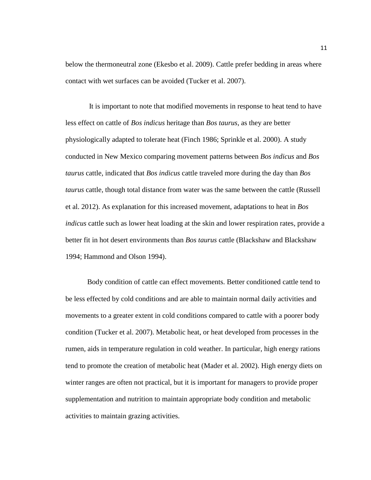below the thermoneutral zone (Ekesbo et al. 2009). Cattle prefer bedding in areas where contact with wet surfaces can be avoided (Tucker et al. 2007).

It is important to note that modified movements in response to heat tend to have less effect on cattle of *Bos indicus* heritage than *Bos taurus*, as they are better physiologically adapted to tolerate heat (Finch 1986; Sprinkle et al. 2000). A study conducted in New Mexico comparing movement patterns between *Bos indicus* and *Bos taurus* cattle, indicated that *Bos indicus* cattle traveled more during the day than *Bos taurus* cattle, though total distance from water was the same between the cattle (Russell et al. 2012). As explanation for this increased movement, adaptations to heat in *Bos indicus* cattle such as lower heat loading at the skin and lower respiration rates, provide a better fit in hot desert environments than *Bos taurus* cattle (Blackshaw and Blackshaw 1994; Hammond and Olson 1994).

Body condition of cattle can effect movements. Better conditioned cattle tend to be less effected by cold conditions and are able to maintain normal daily activities and movements to a greater extent in cold conditions compared to cattle with a poorer body condition (Tucker et al. 2007). Metabolic heat, or heat developed from processes in the rumen, aids in temperature regulation in cold weather. In particular, high energy rations tend to promote the creation of metabolic heat (Mader et al. 2002). High energy diets on winter ranges are often not practical, but it is important for managers to provide proper supplementation and nutrition to maintain appropriate body condition and metabolic activities to maintain grazing activities.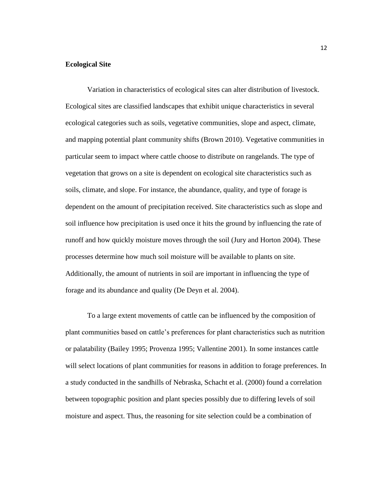## **Ecological Site**

Variation in characteristics of ecological sites can alter distribution of livestock. Ecological sites are classified landscapes that exhibit unique characteristics in several ecological categories such as soils, vegetative communities, slope and aspect, climate, and mapping potential plant community shifts (Brown 2010). Vegetative communities in particular seem to impact where cattle choose to distribute on rangelands. The type of vegetation that grows on a site is dependent on ecological site characteristics such as soils, climate, and slope. For instance, the abundance, quality, and type of forage is dependent on the amount of precipitation received. Site characteristics such as slope and soil influence how precipitation is used once it hits the ground by influencing the rate of runoff and how quickly moisture moves through the soil (Jury and Horton 2004). These processes determine how much soil moisture will be available to plants on site. Additionally, the amount of nutrients in soil are important in influencing the type of forage and its abundance and quality (De Deyn et al. 2004).

To a large extent movements of cattle can be influenced by the composition of plant communities based on cattle's preferences for plant characteristics such as nutrition or palatability (Bailey 1995; Provenza 1995; Vallentine 2001). In some instances cattle will select locations of plant communities for reasons in addition to forage preferences. In a study conducted in the sandhills of Nebraska, Schacht et al. (2000) found a correlation between topographic position and plant species possibly due to differing levels of soil moisture and aspect. Thus, the reasoning for site selection could be a combination of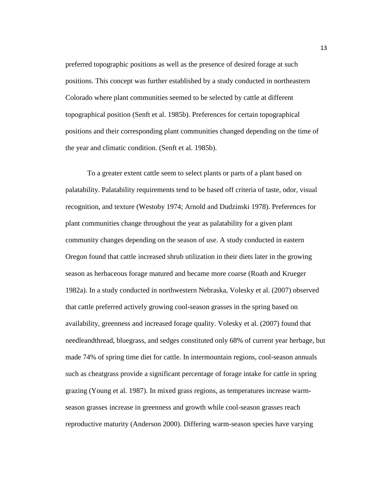preferred topographic positions as well as the presence of desired forage at such positions. This concept was further established by a study conducted in northeastern Colorado where plant communities seemed to be selected by cattle at different topographical position (Senft et al. 1985b). Preferences for certain topographical positions and their corresponding plant communities changed depending on the time of the year and climatic condition. (Senft et al. 1985b).

To a greater extent cattle seem to select plants or parts of a plant based on palatability. Palatability requirements tend to be based off criteria of taste, odor, visual recognition, and texture (Westoby 1974; Arnold and Dudzinski 1978). Preferences for plant communities change throughout the year as palatability for a given plant community changes depending on the season of use. A study conducted in eastern Oregon found that cattle increased shrub utilization in their diets later in the growing season as herbaceous forage matured and became more coarse (Roath and Krueger 1982a). In a study conducted in northwestern Nebraska, Volesky et al. (2007) observed that cattle preferred actively growing cool-season grasses in the spring based on availability, greenness and increased forage quality. Volesky et al. (2007) found that needleandthread, bluegrass, and sedges constituted only 68% of current year herbage, but made 74% of spring time diet for cattle. In intermountain regions, cool-season annuals such as cheatgrass provide a significant percentage of forage intake for cattle in spring grazing (Young et al. 1987). In mixed grass regions, as temperatures increase warmseason grasses increase in greenness and growth while cool-season grasses reach reproductive maturity (Anderson 2000). Differing warm-season species have varying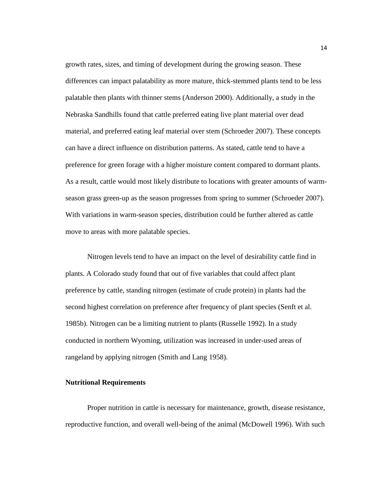growth rates, sizes, and timing of development during the growing season. These differences can impact palatability as more mature, thick-stemmed plants tend to be less palatable then plants with thinner stems (Anderson 2000). Additionally, a study in the Nebraska Sandhills found that cattle preferred eating live plant material over dead material, and preferred eating leaf material over stem (Schroeder 2007). These concepts can have a direct influence on distribution patterns. As stated, cattle tend to have a preference for green forage with a higher moisture content compared to dormant plants. As a result, cattle would most likely distribute to locations with greater amounts of warmseason grass green-up as the season progresses from spring to summer (Schroeder 2007). With variations in warm-season species, distribution could be further altered as cattle move to areas with more palatable species.

Nitrogen levels tend to have an impact on the level of desirability cattle find in plants. A Colorado study found that out of five variables that could affect plant preference by cattle, standing nitrogen (estimate of crude protein) in plants had the second highest correlation on preference after frequency of plant species (Senft et al. 1985b). Nitrogen can be a limiting nutrient to plants (Russelle 1992). In a study conducted in northern Wyoming, utilization was increased in under-used areas of rangeland by applying nitrogen (Smith and Lang 1958).

#### **Nutritional Requirements**

Proper nutrition in cattle is necessary for maintenance, growth, disease resistance, reproductive function, and overall well-being of the animal (McDowell 1996). With such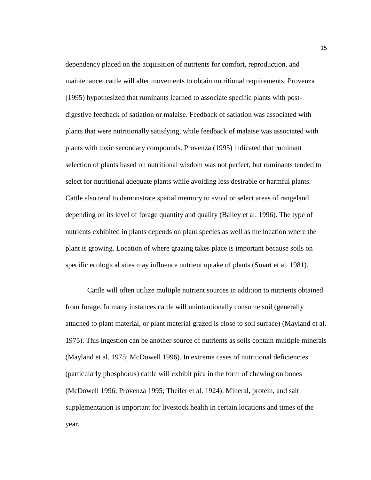dependency placed on the acquisition of nutrients for comfort, reproduction, and maintenance, cattle will alter movements to obtain nutritional requirements. Provenza (1995) hypothesized that ruminants learned to associate specific plants with postdigestive feedback of satiation or malaise. Feedback of satiation was associated with plants that were nutritionally satisfying, while feedback of malaise was associated with plants with toxic secondary compounds. Provenza (1995) indicated that ruminant selection of plants based on nutritional wisdom was not perfect, but ruminants tended to select for nutritional adequate plants while avoiding less desirable or harmful plants. Cattle also tend to demonstrate spatial memory to avoid or select areas of rangeland depending on its level of forage quantity and quality (Bailey et al. 1996). The type of nutrients exhibited in plants depends on plant species as well as the location where the plant is growing. Location of where grazing takes place is important because soils on specific ecological sites may influence nutrient uptake of plants (Smart et al. 1981).

Cattle will often utilize multiple nutrient sources in addition to nutrients obtained from forage. In many instances cattle will unintentionally consume soil (generally attached to plant material, or plant material grazed is close to soil surface) (Mayland et al. 1975). This ingestion can be another source of nutrients as soils contain multiple minerals (Mayland et al. 1975; McDowell 1996). In extreme cases of nutritional deficiencies (particularly phosphorus) cattle will exhibit pica in the form of chewing on bones (McDowell 1996; Provenza 1995; Theiler et al. 1924). Mineral, protein, and salt supplementation is important for livestock health in certain locations and times of the year.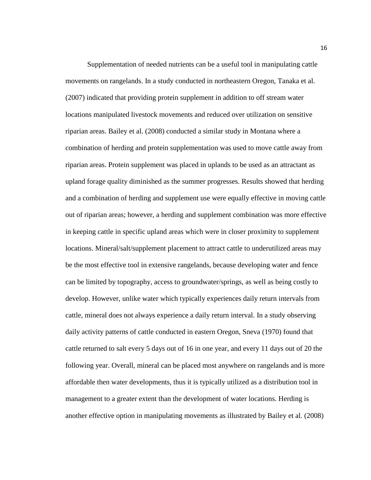Supplementation of needed nutrients can be a useful tool in manipulating cattle movements on rangelands. In a study conducted in northeastern Oregon, Tanaka et al. (2007) indicated that providing protein supplement in addition to off stream water locations manipulated livestock movements and reduced over utilization on sensitive riparian areas. Bailey et al. (2008) conducted a similar study in Montana where a combination of herding and protein supplementation was used to move cattle away from riparian areas. Protein supplement was placed in uplands to be used as an attractant as upland forage quality diminished as the summer progresses. Results showed that herding and a combination of herding and supplement use were equally effective in moving cattle out of riparian areas; however, a herding and supplement combination was more effective in keeping cattle in specific upland areas which were in closer proximity to supplement locations. Mineral/salt/supplement placement to attract cattle to underutilized areas may be the most effective tool in extensive rangelands, because developing water and fence can be limited by topography, access to groundwater/springs, as well as being costly to develop. However, unlike water which typically experiences daily return intervals from cattle, mineral does not always experience a daily return interval. In a study observing daily activity patterns of cattle conducted in eastern Oregon, Sneva (1970) found that cattle returned to salt every 5 days out of 16 in one year, and every 11 days out of 20 the following year. Overall, mineral can be placed most anywhere on rangelands and is more affordable then water developments, thus it is typically utilized as a distribution tool in management to a greater extent than the development of water locations. Herding is another effective option in manipulating movements as illustrated by Bailey et al. (2008)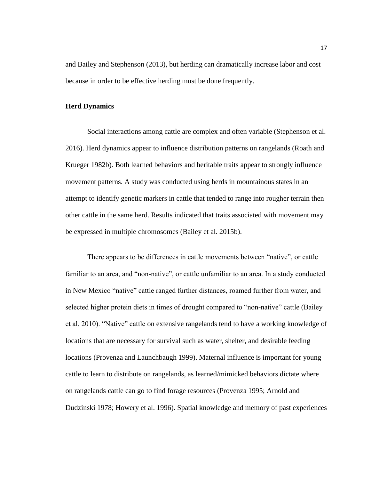and Bailey and Stephenson (2013), but herding can dramatically increase labor and cost because in order to be effective herding must be done frequently.

#### **Herd Dynamics**

Social interactions among cattle are complex and often variable (Stephenson et al. 2016). Herd dynamics appear to influence distribution patterns on rangelands (Roath and Krueger 1982b). Both learned behaviors and heritable traits appear to strongly influence movement patterns. A study was conducted using herds in mountainous states in an attempt to identify genetic markers in cattle that tended to range into rougher terrain then other cattle in the same herd. Results indicated that traits associated with movement may be expressed in multiple chromosomes (Bailey et al. 2015b).

There appears to be differences in cattle movements between "native", or cattle familiar to an area, and "non-native", or cattle unfamiliar to an area. In a study conducted in New Mexico "native" cattle ranged further distances, roamed further from water, and selected higher protein diets in times of drought compared to "non-native" cattle (Bailey et al. 2010). "Native" cattle on extensive rangelands tend to have a working knowledge of locations that are necessary for survival such as water, shelter, and desirable feeding locations (Provenza and Launchbaugh 1999). Maternal influence is important for young cattle to learn to distribute on rangelands, as learned/mimicked behaviors dictate where on rangelands cattle can go to find forage resources (Provenza 1995; Arnold and Dudzinski 1978; Howery et al. 1996). Spatial knowledge and memory of past experiences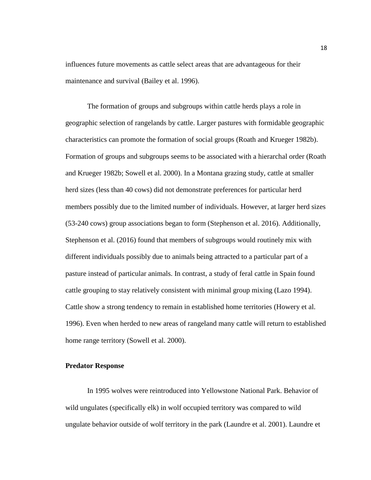influences future movements as cattle select areas that are advantageous for their maintenance and survival (Bailey et al. 1996).

The formation of groups and subgroups within cattle herds plays a role in geographic selection of rangelands by cattle. Larger pastures with formidable geographic characteristics can promote the formation of social groups (Roath and Krueger 1982b). Formation of groups and subgroups seems to be associated with a hierarchal order (Roath and Krueger 1982b; Sowell et al. 2000). In a Montana grazing study, cattle at smaller herd sizes (less than 40 cows) did not demonstrate preferences for particular herd members possibly due to the limited number of individuals. However, at larger herd sizes (53-240 cows) group associations began to form (Stephenson et al. 2016). Additionally, Stephenson et al. (2016) found that members of subgroups would routinely mix with different individuals possibly due to animals being attracted to a particular part of a pasture instead of particular animals. In contrast, a study of feral cattle in Spain found cattle grouping to stay relatively consistent with minimal group mixing (Lazo 1994). Cattle show a strong tendency to remain in established home territories (Howery et al. 1996). Even when herded to new areas of rangeland many cattle will return to established home range territory (Sowell et al. 2000).

#### **Predator Response**

In 1995 wolves were reintroduced into Yellowstone National Park. Behavior of wild ungulates (specifically elk) in wolf occupied territory was compared to wild ungulate behavior outside of wolf territory in the park (Laundre et al. 2001). Laundre et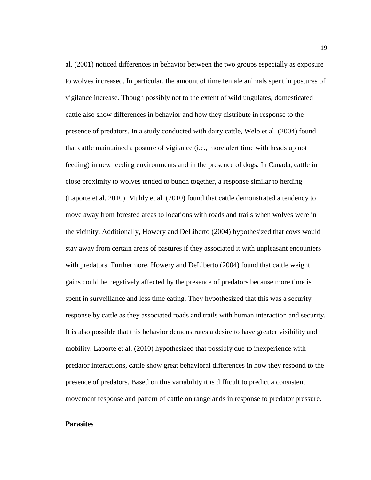al. (2001) noticed differences in behavior between the two groups especially as exposure to wolves increased. In particular, the amount of time female animals spent in postures of vigilance increase. Though possibly not to the extent of wild ungulates, domesticated cattle also show differences in behavior and how they distribute in response to the presence of predators. In a study conducted with dairy cattle, Welp et al. (2004) found that cattle maintained a posture of vigilance (i.e., more alert time with heads up not feeding) in new feeding environments and in the presence of dogs. In Canada, cattle in close proximity to wolves tended to bunch together, a response similar to herding (Laporte et al. 2010). Muhly et al. (2010) found that cattle demonstrated a tendency to move away from forested areas to locations with roads and trails when wolves were in the vicinity. Additionally, Howery and DeLiberto (2004) hypothesized that cows would stay away from certain areas of pastures if they associated it with unpleasant encounters with predators. Furthermore, Howery and DeLiberto (2004) found that cattle weight gains could be negatively affected by the presence of predators because more time is spent in surveillance and less time eating. They hypothesized that this was a security response by cattle as they associated roads and trails with human interaction and security. It is also possible that this behavior demonstrates a desire to have greater visibility and mobility. Laporte et al. (2010) hypothesized that possibly due to inexperience with predator interactions, cattle show great behavioral differences in how they respond to the presence of predators. Based on this variability it is difficult to predict a consistent movement response and pattern of cattle on rangelands in response to predator pressure.

## **Parasites**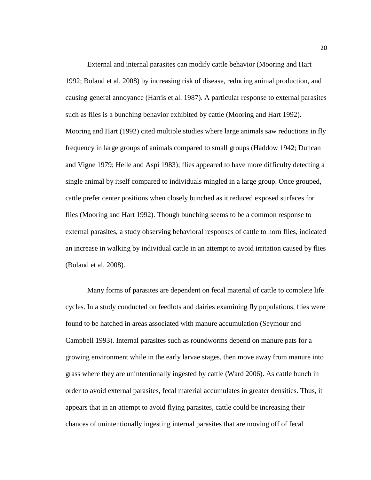External and internal parasites can modify cattle behavior (Mooring and Hart 1992; Boland et al. 2008) by increasing risk of disease, reducing animal production, and causing general annoyance (Harris et al. 1987). A particular response to external parasites such as flies is a bunching behavior exhibited by cattle (Mooring and Hart 1992). Mooring and Hart (1992) cited multiple studies where large animals saw reductions in fly frequency in large groups of animals compared to small groups (Haddow 1942; Duncan and Vigne 1979; Helle and Aspi 1983); flies appeared to have more difficulty detecting a single animal by itself compared to individuals mingled in a large group. Once grouped, cattle prefer center positions when closely bunched as it reduced exposed surfaces for flies (Mooring and Hart 1992). Though bunching seems to be a common response to external parasites, a study observing behavioral responses of cattle to horn flies, indicated an increase in walking by individual cattle in an attempt to avoid irritation caused by flies (Boland et al. 2008).

Many forms of parasites are dependent on fecal material of cattle to complete life cycles. In a study conducted on feedlots and dairies examining fly populations, flies were found to be hatched in areas associated with manure accumulation (Seymour and Campbell 1993). Internal parasites such as roundworms depend on manure pats for a growing environment while in the early larvae stages, then move away from manure into grass where they are unintentionally ingested by cattle (Ward 2006). As cattle bunch in order to avoid external parasites, fecal material accumulates in greater densities. Thus, it appears that in an attempt to avoid flying parasites, cattle could be increasing their chances of unintentionally ingesting internal parasites that are moving off of fecal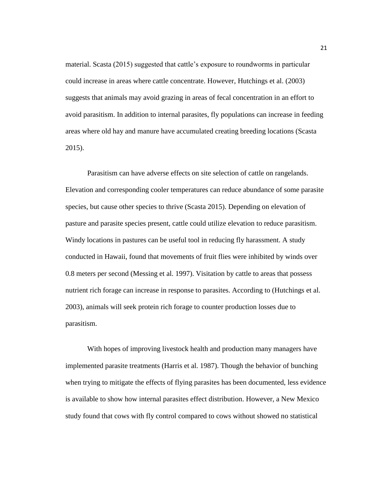material. Scasta (2015) suggested that cattle's exposure to roundworms in particular could increase in areas where cattle concentrate. However, Hutchings et al. (2003) suggests that animals may avoid grazing in areas of fecal concentration in an effort to avoid parasitism. In addition to internal parasites, fly populations can increase in feeding areas where old hay and manure have accumulated creating breeding locations (Scasta 2015).

Parasitism can have adverse effects on site selection of cattle on rangelands. Elevation and corresponding cooler temperatures can reduce abundance of some parasite species, but cause other species to thrive (Scasta 2015). Depending on elevation of pasture and parasite species present, cattle could utilize elevation to reduce parasitism. Windy locations in pastures can be useful tool in reducing fly harassment. A study conducted in Hawaii, found that movements of fruit flies were inhibited by winds over 0.8 meters per second (Messing et al. 1997). Visitation by cattle to areas that possess nutrient rich forage can increase in response to parasites. According to (Hutchings et al. 2003), animals will seek protein rich forage to counter production losses due to parasitism.

With hopes of improving livestock health and production many managers have implemented parasite treatments (Harris et al. 1987). Though the behavior of bunching when trying to mitigate the effects of flying parasites has been documented, less evidence is available to show how internal parasites effect distribution. However, a New Mexico study found that cows with fly control compared to cows without showed no statistical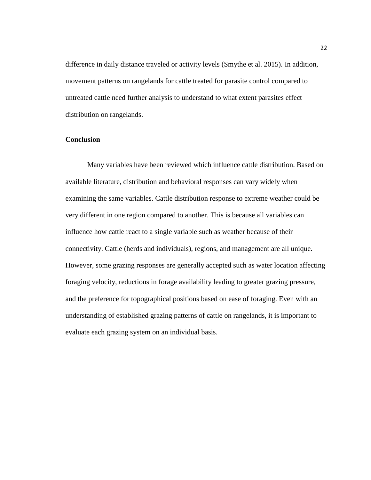difference in daily distance traveled or activity levels (Smythe et al. 2015). In addition, movement patterns on rangelands for cattle treated for parasite control compared to untreated cattle need further analysis to understand to what extent parasites effect distribution on rangelands.

## **Conclusion**

Many variables have been reviewed which influence cattle distribution. Based on available literature, distribution and behavioral responses can vary widely when examining the same variables. Cattle distribution response to extreme weather could be very different in one region compared to another. This is because all variables can influence how cattle react to a single variable such as weather because of their connectivity. Cattle (herds and individuals), regions, and management are all unique. However, some grazing responses are generally accepted such as water location affecting foraging velocity, reductions in forage availability leading to greater grazing pressure, and the preference for topographical positions based on ease of foraging. Even with an understanding of established grazing patterns of cattle on rangelands, it is important to evaluate each grazing system on an individual basis.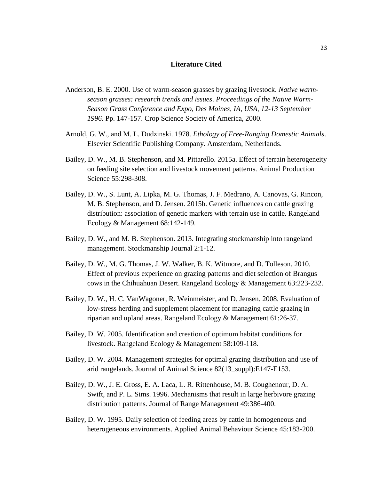#### **Literature Cited**

- Anderson, B. E. 2000. Use of warm-season grasses by grazing livestock. *Native warmseason grasses: research trends and issues*. *Proceedings of the Native Warm-Season Grass Conference and Expo, Des Moines, IA, USA, 12-13 September 1996.* Pp. 147-157. Crop Science Society of America, 2000.
- Arnold, G. W., and M. L. Dudzinski. 1978. *Ethology of Free-Ranging Domestic Animals*. Elsevier Scientific Publishing Company. Amsterdam, Netherlands.
- Bailey, D. W., M. B. Stephenson, and M. Pittarello. 2015a. Effect of terrain heterogeneity on feeding site selection and livestock movement patterns. Animal Production Science 55:298-308.
- Bailey, D. W., S. Lunt, A. Lipka, M. G. Thomas, J. F. Medrano, A. Canovas, G. Rincon, M. B. Stephenson, and D. Jensen. 2015b. Genetic influences on cattle grazing distribution: association of genetic markers with terrain use in cattle. Rangeland Ecology & Management 68:142-149.
- Bailey, D. W., and M. B. Stephenson. 2013. Integrating stockmanship into rangeland management. Stockmanship Journal 2:1-12.
- Bailey, D. W., M. G. Thomas, J. W. Walker, B. K. Witmore, and D. Tolleson. 2010. Effect of previous experience on grazing patterns and diet selection of Brangus cows in the Chihuahuan Desert. Rangeland Ecology & Management 63:223-232.
- Bailey, D. W., H. C. VanWagoner, R. Weinmeister, and D. Jensen. 2008. Evaluation of low-stress herding and supplement placement for managing cattle grazing in riparian and upland areas. Rangeland Ecology & Management 61:26-37.
- Bailey, D. W. 2005. Identification and creation of optimum habitat conditions for livestock. Rangeland Ecology & Management 58:109-118.
- Bailey, D. W. 2004. Management strategies for optimal grazing distribution and use of arid rangelands. Journal of Animal Science 82(13\_suppl):E147-E153.
- Bailey, D. W., J. E. Gross, E. A. Laca, L. R. Rittenhouse, M. B. Coughenour, D. A. Swift, and P. L. Sims. 1996. Mechanisms that result in large herbivore grazing distribution patterns. Journal of Range Management 49:386-400.
- Bailey, D. W. 1995. Daily selection of feeding areas by cattle in homogeneous and heterogeneous environments. Applied Animal Behaviour Science 45:183-200.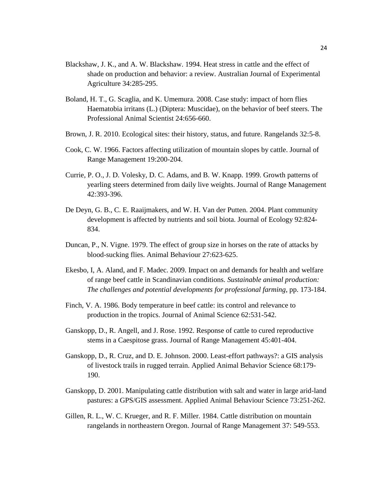- Blackshaw, J. K., and A. W. Blackshaw. 1994. Heat stress in cattle and the effect of shade on production and behavior: a review. Australian Journal of Experimental Agriculture 34:285-295.
- Boland, H. T., G. Scaglia, and K. Umemura. 2008. Case study: impact of horn flies Haematobia irritans (L.) (Diptera: Muscidae), on the behavior of beef steers. The Professional Animal Scientist 24:656-660.
- Brown, J. R. 2010. Ecological sites: their history, status, and future. Rangelands 32:5-8.
- Cook, C. W. 1966. Factors affecting utilization of mountain slopes by cattle. Journal of Range Management 19:200-204.
- Currie, P. O., J. D. Volesky, D. C. Adams, and B. W. Knapp. 1999. Growth patterns of yearling steers determined from daily live weights. Journal of Range Management 42:393-396.
- De Deyn, G. B., C. E. Raaijmakers, and W. H. Van der Putten. 2004. Plant community development is affected by nutrients and soil biota. Journal of Ecology 92:824- 834.
- Duncan, P., N. Vigne. 1979. The effect of group size in horses on the rate of attacks by blood-sucking flies. Animal Behaviour 27:623-625.
- Ekesbo, I, A. Aland, and F. Madec. 2009. Impact on and demands for health and welfare of range beef cattle in Scandinavian conditions. *Sustainable animal production: The challenges and potential developments for professional farming*, pp. 173-184.
- Finch, V. A. 1986. Body temperature in beef cattle: its control and relevance to production in the tropics. Journal of Animal Science 62:531-542.
- Ganskopp, D., R. Angell, and J. Rose. 1992. Response of cattle to cured reproductive stems in a Caespitose grass. Journal of Range Management 45:401-404.
- Ganskopp, D., R. Cruz, and D. E. Johnson. 2000. Least-effort pathways?: a GIS analysis of livestock trails in rugged terrain. Applied Animal Behavior Science 68:179- 190.
- Ganskopp, D. 2001. Manipulating cattle distribution with salt and water in large arid-land pastures: a GPS/GIS assessment. Applied Animal Behaviour Science 73:251-262.
- Gillen, R. L., W. C. Krueger, and R. F. Miller. 1984. Cattle distribution on mountain rangelands in northeastern Oregon. Journal of Range Management 37: 549-553.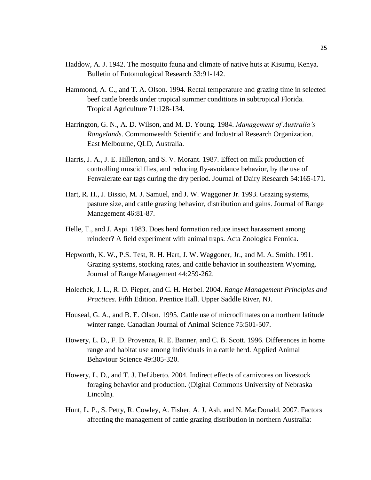- Haddow, A. J. 1942. The mosquito fauna and climate of native huts at Kisumu, Kenya. Bulletin of Entomological Research 33:91-142.
- Hammond, A. C., and T. A. Olson. 1994. Rectal temperature and grazing time in selected beef cattle breeds under tropical summer conditions in subtropical Florida. Tropical Agriculture 71:128-134.
- Harrington, G. N., A. D. Wilson, and M. D. Young. 1984. *Management of Australia's Rangelands.* Commonwealth Scientific and Industrial Research Organization. East Melbourne, QLD, Australia.
- Harris, J. A., J. E. Hillerton, and S. V. Morant. 1987. Effect on milk production of controlling muscid flies, and reducing fly-avoidance behavior, by the use of Fenvalerate ear tags during the dry period. Journal of Dairy Research 54:165-171.
- Hart, R. H., J. Bissio, M. J. Samuel, and J. W. Waggoner Jr. 1993. Grazing systems, pasture size, and cattle grazing behavior, distribution and gains. Journal of Range Management 46:81-87.
- Helle, T., and J. Aspi. 1983. Does herd formation reduce insect harassment among reindeer? A field experiment with animal traps. Acta Zoologica Fennica.
- Hepworth, K. W., P.S. Test, R. H. Hart, J. W. Waggoner, Jr., and M. A. Smith. 1991. Grazing systems, stocking rates, and cattle behavior in southeastern Wyoming. Journal of Range Management 44:259-262.
- Holechek, J. L., R. D. Pieper, and C. H. Herbel. 2004. *Range Management Principles and Practices*. Fifth Edition. Prentice Hall. Upper Saddle River, NJ.
- Houseal, G. A., and B. E. Olson. 1995. Cattle use of microclimates on a northern latitude winter range. Canadian Journal of Animal Science 75:501-507.
- Howery, L. D., F. D. Provenza, R. E. Banner, and C. B. Scott. 1996. Differences in home range and habitat use among individuals in a cattle herd. Applied Animal Behaviour Science 49:305-320.
- Howery, L. D., and T. J. DeLiberto. 2004. Indirect effects of carnivores on livestock foraging behavior and production. (Digital Commons University of Nebraska – Lincoln).
- Hunt, L. P., S. Petty, R. Cowley, A. Fisher, A. J. Ash, and N. MacDonald. 2007. Factors affecting the management of cattle grazing distribution in northern Australia: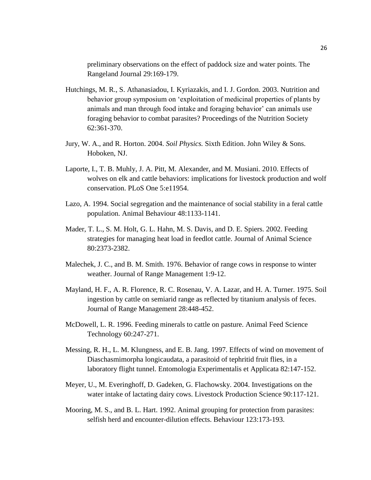preliminary observations on the effect of paddock size and water points. The Rangeland Journal 29:169-179.

- Hutchings, M. R., S. Athanasiadou, I. Kyriazakis, and I. J. Gordon. 2003. Nutrition and behavior group symposium on 'exploitation of medicinal properties of plants by animals and man through food intake and foraging behavior' can animals use foraging behavior to combat parasites? Proceedings of the Nutrition Society 62:361-370.
- Jury, W. A., and R. Horton. 2004. *Soil Physics.* Sixth Edition. John Wiley & Sons. Hoboken, NJ.
- Laporte, I., T. B. Muhly, J. A. Pitt, M. Alexander, and M. Musiani. 2010. Effects of wolves on elk and cattle behaviors: implications for livestock production and wolf conservation. PLoS One 5:e11954.
- Lazo, A. 1994. Social segregation and the maintenance of social stability in a feral cattle population. Animal Behaviour 48:1133-1141.
- Mader, T. L., S. M. Holt, G. L. Hahn, M. S. Davis, and D. E. Spiers. 2002. Feeding strategies for managing heat load in feedlot cattle. Journal of Animal Science 80:2373-2382.
- Malechek, J. C., and B. M. Smith. 1976. Behavior of range cows in response to winter weather. Journal of Range Management 1:9-12.
- Mayland, H. F., A. R. Florence, R. C. Rosenau, V. A. Lazar, and H. A. Turner. 1975. Soil ingestion by cattle on semiarid range as reflected by titanium analysis of feces. Journal of Range Management 28:448-452.
- McDowell, L. R. 1996. Feeding minerals to cattle on pasture. Animal Feed Science Technology 60:247-271.
- Messing, R. H., L. M. Klungness, and E. B. Jang. 1997. Effects of wind on movement of Diaschasmimorpha longicaudata, a parasitoid of tephritid fruit flies, in a laboratory flight tunnel. Entomologia Experimentalis et Applicata 82:147-152.
- Meyer, U., M. Everinghoff, D. Gadeken, G. Flachowsky. 2004. Investigations on the water intake of lactating dairy cows. Livestock Production Science 90:117-121.
- Mooring, M. S., and B. L. Hart. 1992. Animal grouping for protection from parasites: selfish herd and encounter-dilution effects. Behaviour 123:173-193.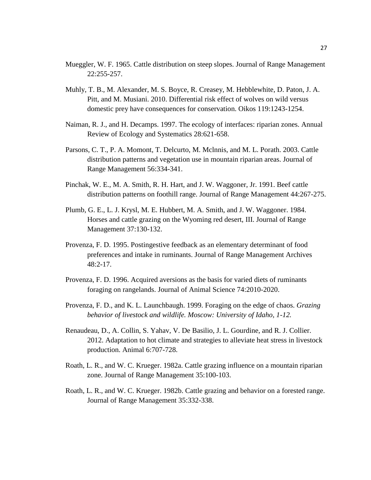- Mueggler, W. F. 1965. Cattle distribution on steep slopes. Journal of Range Management 22:255-257.
- Muhly, T. B., M. Alexander, M. S. Boyce, R. Creasey, M. Hebblewhite, D. Paton, J. A. Pitt, and M. Musiani. 2010. Differential risk effect of wolves on wild versus domestic prey have consequences for conservation. Oikos 119:1243-1254.
- Naiman, R. J., and H. Decamps. 1997. The ecology of interfaces: riparian zones. Annual Review of Ecology and Systematics 28:621-658.
- Parsons, C. T., P. A. Momont, T. Delcurto, M. Mclnnis, and M. L. Porath. 2003. Cattle distribution patterns and vegetation use in mountain riparian areas. Journal of Range Management 56:334-341.
- Pinchak, W. E., M. A. Smith, R. H. Hart, and J. W. Waggoner, Jr. 1991. Beef cattle distribution patterns on foothill range. Journal of Range Management 44:267-275.
- Plumb, G. E., L. J. Krysl, M. E. Hubbert, M. A. Smith, and J. W. Waggoner. 1984. Horses and cattle grazing on the Wyoming red desert, III. Journal of Range Management 37:130-132.
- Provenza, F. D. 1995. Postingestive feedback as an elementary determinant of food preferences and intake in ruminants. Journal of Range Management Archives 48:2-17.
- Provenza, F. D. 1996. Acquired aversions as the basis for varied diets of ruminants foraging on rangelands. Journal of Animal Science 74:2010-2020.
- Provenza, F. D., and K. L. Launchbaugh. 1999. Foraging on the edge of chaos. *Grazing behavior of livestock and wildlife. Moscow: University of Idaho, 1-12.*
- Renaudeau, D., A. Collin, S. Yahav, V. De Basilio, J. L. Gourdine, and R. J. Collier. 2012. Adaptation to hot climate and strategies to alleviate heat stress in livestock production. Animal 6:707-728.
- Roath, L. R., and W. C. Krueger. 1982a. Cattle grazing influence on a mountain riparian zone. Journal of Range Management 35:100-103.
- Roath, L. R., and W. C. Krueger. 1982b. Cattle grazing and behavior on a forested range. Journal of Range Management 35:332-338.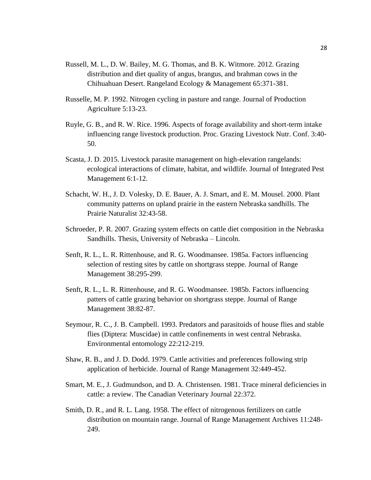- Russell, M. L., D. W. Bailey, M. G. Thomas, and B. K. Witmore. 2012. Grazing distribution and diet quality of angus, brangus, and brahman cows in the Chihuahuan Desert. Rangeland Ecology & Management 65:371-381.
- Russelle, M. P. 1992. Nitrogen cycling in pasture and range. Journal of Production Agriculture 5:13-23.
- Ruyle, G. B., and R. W. Rice. 1996. Aspects of forage availability and short-term intake influencing range livestock production. Proc. Grazing Livestock Nutr. Conf. 3:40- 50.
- Scasta, J. D. 2015. Livestock parasite management on high-elevation rangelands: ecological interactions of climate, habitat, and wildlife. Journal of Integrated Pest Management 6:1-12.
- Schacht, W. H., J. D. Volesky, D. E. Bauer, A. J. Smart, and E. M. Mousel. 2000. Plant community patterns on upland prairie in the eastern Nebraska sandhills. The Prairie Naturalist 32:43-58.
- Schroeder, P. R. 2007. Grazing system effects on cattle diet composition in the Nebraska Sandhills. Thesis, University of Nebraska – Lincoln.
- Senft, R. L., L. R. Rittenhouse, and R. G. Woodmansee. 1985a. Factors influencing selection of resting sites by cattle on shortgrass steppe. Journal of Range Management 38:295-299.
- Senft, R. L., L. R. Rittenhouse, and R. G. Woodmansee. 1985b. Factors influencing patters of cattle grazing behavior on shortgrass steppe. Journal of Range Management 38:82-87.
- Seymour, R. C., J. B. Campbell. 1993. Predators and parasitoids of house flies and stable flies (Diptera: Muscidae) in cattle confinements in west central Nebraska. Environmental entomology 22:212-219.
- Shaw, R. B., and J. D. Dodd. 1979. Cattle activities and preferences following strip application of herbicide. Journal of Range Management 32:449-452.
- Smart, M. E., J. Gudmundson, and D. A. Christensen. 1981. Trace mineral deficiencies in cattle: a review. The Canadian Veterinary Journal 22:372.
- Smith, D. R., and R. L. Lang. 1958. The effect of nitrogenous fertilizers on cattle distribution on mountain range. Journal of Range Management Archives 11:248- 249.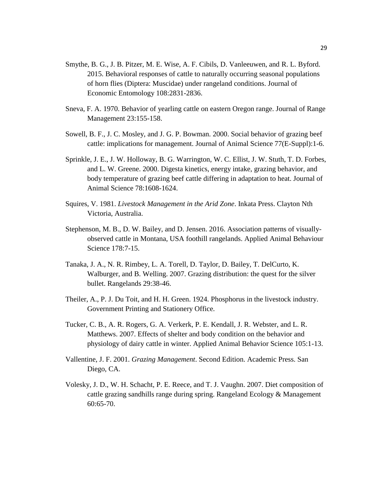- Smythe, B. G., J. B. Pitzer, M. E. Wise, A. F. Cibils, D. Vanleeuwen, and R. L. Byford. 2015. Behavioral responses of cattle to naturally occurring seasonal populations of horn flies (Diptera: Muscidae) under rangeland conditions. Journal of Economic Entomology 108:2831-2836.
- Sneva, F. A. 1970. Behavior of yearling cattle on eastern Oregon range. Journal of Range Management 23:155-158.
- Sowell, B. F., J. C. Mosley, and J. G. P. Bowman. 2000. Social behavior of grazing beef cattle: implications for management. Journal of Animal Science 77(E-Suppl):1-6.
- Sprinkle, J. E., J. W. Holloway, B. G. Warrington, W. C. Ellist, J. W. Stuth, T. D. Forbes, and L. W. Greene. 2000. Digesta kinetics, energy intake, grazing behavior, and body temperature of grazing beef cattle differing in adaptation to heat. Journal of Animal Science 78:1608-1624.
- Squires, V. 1981. *Livestock Management in the Arid Zone*. Inkata Press. Clayton Nth Victoria, Australia.
- Stephenson, M. B., D. W. Bailey, and D. Jensen. 2016. Association patterns of visuallyobserved cattle in Montana, USA foothill rangelands. Applied Animal Behaviour Science 178:7-15.
- Tanaka, J. A., N. R. Rimbey, L. A. Torell, D. Taylor, D. Bailey, T. DelCurto, K. Walburger, and B. Welling. 2007. Grazing distribution: the quest for the silver bullet. Rangelands 29:38-46.
- Theiler, A., P. J. Du Toit, and H. H. Green. 1924. Phosphorus in the livestock industry. Government Printing and Stationery Office.
- Tucker, C. B., A. R. Rogers, G. A. Verkerk, P. E. Kendall, J. R. Webster, and L. R. Matthews. 2007. Effects of shelter and body condition on the behavior and physiology of dairy cattle in winter. Applied Animal Behavior Science 105:1-13.
- Vallentine, J. F. 2001. *Grazing Management*. Second Edition. Academic Press. San Diego, CA.
- Volesky, J. D., W. H. Schacht, P. E. Reece, and T. J. Vaughn. 2007. Diet composition of cattle grazing sandhills range during spring. Rangeland Ecology & Management 60:65-70.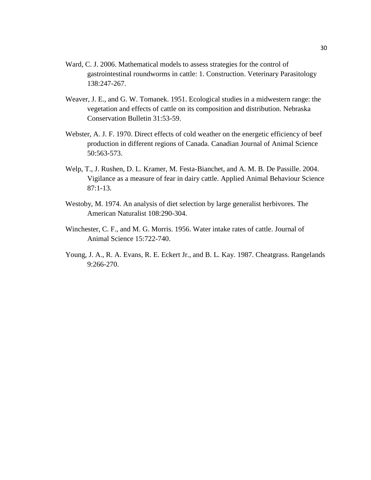- Ward, C. J. 2006. Mathematical models to assess strategies for the control of gastrointestinal roundworms in cattle: 1. Construction. Veterinary Parasitology 138:247-267.
- Weaver, J. E., and G. W. Tomanek. 1951. Ecological studies in a midwestern range: the vegetation and effects of cattle on its composition and distribution. Nebraska Conservation Bulletin 31:53-59.
- Webster, A. J. F. 1970. Direct effects of cold weather on the energetic efficiency of beef production in different regions of Canada. Canadian Journal of Animal Science 50:563-573.
- Welp, T., J. Rushen, D. L. Kramer, M. Festa-Bianchet, and A. M. B. De Passille. 2004. Vigilance as a measure of fear in dairy cattle. Applied Animal Behaviour Science  $87:1-13.$
- Westoby, M. 1974. An analysis of diet selection by large generalist herbivores. The American Naturalist 108:290-304.
- Winchester, C. F., and M. G. Morris. 1956. Water intake rates of cattle. Journal of Animal Science 15:722-740.
- Young, J. A., R. A. Evans, R. E. Eckert Jr., and B. L. Kay. 1987. Cheatgrass. Rangelands 9:266-270.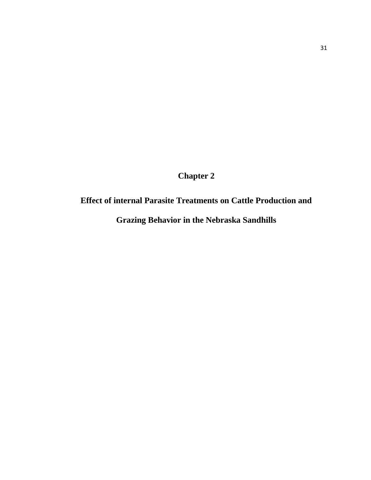**Chapter 2**

# **Effect of internal Parasite Treatments on Cattle Production and**

**Grazing Behavior in the Nebraska Sandhills**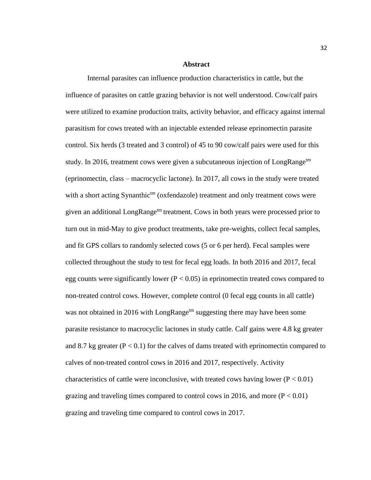#### **Abstract**

Internal parasites can influence production characteristics in cattle, but the influence of parasites on cattle grazing behavior is not well understood. Cow/calf pairs were utilized to examine production traits, activity behavior, and efficacy against internal parasitism for cows treated with an injectable extended release eprinomectin parasite control. Six herds (3 treated and 3 control) of 45 to 90 cow/calf pairs were used for this study. In 2016, treatment cows were given a subcutaneous injection of LongRange<sup>tm</sup> (eprinomectin, class – macrocyclic lactone). In 2017, all cows in the study were treated with a short acting Synanthic<sup>tm</sup> (oxfendazole) treatment and only treatment cows were given an additional LongRange<sup>tm</sup> treatment. Cows in both years were processed prior to turn out in mid-May to give product treatments, take pre-weights, collect fecal samples, and fit GPS collars to randomly selected cows (5 or 6 per herd). Fecal samples were collected throughout the study to test for fecal egg loads. In both 2016 and 2017, fecal egg counts were significantly lower ( $P < 0.05$ ) in eprinomectin treated cows compared to non-treated control cows. However, complete control (0 fecal egg counts in all cattle) was not obtained in 2016 with LongRange<sup>tm</sup> suggesting there may have been some parasite resistance to macrocyclic lactones in study cattle. Calf gains were 4.8 kg greater and 8.7 kg greater ( $P < 0.1$ ) for the calves of dams treated with eprinomectin compared to calves of non-treated control cows in 2016 and 2017, respectively. Activity characteristics of cattle were inconclusive, with treated cows having lower ( $P < 0.01$ ) grazing and traveling times compared to control cows in 2016, and more  $(P < 0.01)$ grazing and traveling time compared to control cows in 2017.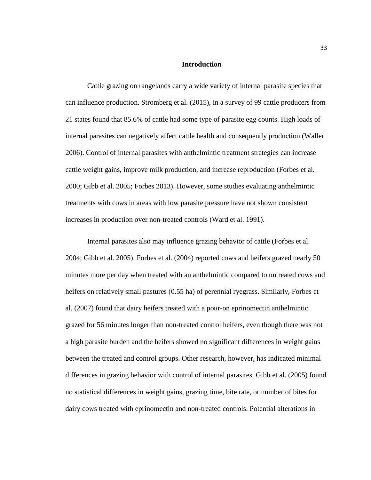#### **Introduction**

Cattle grazing on rangelands carry a wide variety of internal parasite species that can influence production. Stromberg et al. (2015), in a survey of 99 cattle producers from 21 states found that 85.6% of cattle had some type of parasite egg counts. High loads of internal parasites can negatively affect cattle health and consequently production (Waller 2006). Control of internal parasites with anthelmintic treatment strategies can increase cattle weight gains, improve milk production, and increase reproduction (Forbes et al. 2000; Gibb et al. 2005; Forbes 2013). However, some studies evaluating anthelmintic treatments with cows in areas with low parasite pressure have not shown consistent increases in production over non-treated controls (Ward et al. 1991).

Internal parasites also may influence grazing behavior of cattle (Forbes et al. 2004; Gibb et al. 2005). Forbes et al. (2004) reported cows and heifers grazed nearly 50 minutes more per day when treated with an anthelmintic compared to untreated cows and heifers on relatively small pastures (0.55 ha) of perennial ryegrass. Similarly, Forbes et al. (2007) found that dairy heifers treated with a pour-on eprinomectin anthelmintic grazed for 56 minutes longer than non-treated control heifers, even though there was not a high parasite burden and the heifers showed no significant differences in weight gains between the treated and control groups. Other research, however, has indicated minimal differences in grazing behavior with control of internal parasites. Gibb et al. (2005) found no statistical differences in weight gains, grazing time, bite rate, or number of bites for dairy cows treated with eprinomectin and non-treated controls. Potential alterations in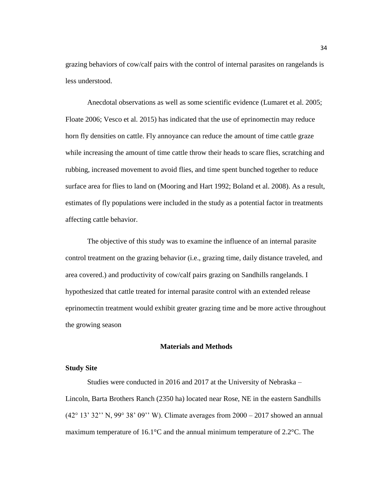grazing behaviors of cow/calf pairs with the control of internal parasites on rangelands is less understood.

Anecdotal observations as well as some scientific evidence (Lumaret et al. 2005; Floate 2006; Vesco et al. 2015) has indicated that the use of eprinomectin may reduce horn fly densities on cattle. Fly annoyance can reduce the amount of time cattle graze while increasing the amount of time cattle throw their heads to scare flies, scratching and rubbing, increased movement to avoid flies, and time spent bunched together to reduce surface area for flies to land on (Mooring and Hart 1992; Boland et al. 2008). As a result, estimates of fly populations were included in the study as a potential factor in treatments affecting cattle behavior.

The objective of this study was to examine the influence of an internal parasite control treatment on the grazing behavior (i.e., grazing time, daily distance traveled, and area covered.) and productivity of cow/calf pairs grazing on Sandhills rangelands. I hypothesized that cattle treated for internal parasite control with an extended release eprinomectin treatment would exhibit greater grazing time and be more active throughout the growing season

#### **Materials and Methods**

#### **Study Site**

Studies were conducted in 2016 and 2017 at the University of Nebraska – Lincoln, Barta Brothers Ranch (2350 ha) located near Rose, NE in the eastern Sandhills (42° 13' 32'' N, 99° 38' 09'' W). Climate averages from 2000 – 2017 showed an annual maximum temperature of 16.1°C and the annual minimum temperature of 2.2°C. The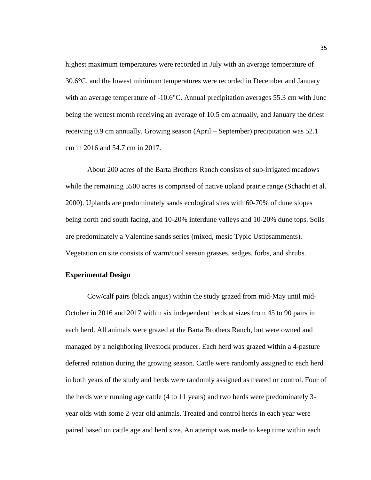highest maximum temperatures were recorded in July with an average temperature of 30.6°C, and the lowest minimum temperatures were recorded in December and January with an average temperature of -10.6<sup>o</sup>C. Annual precipitation averages 55.3 cm with June being the wettest month receiving an average of 10.5 cm annually, and January the driest receiving 0.9 cm annually. Growing season (April – September) precipitation was 52.1 cm in 2016 and 54.7 cm in 2017.

About 200 acres of the Barta Brothers Ranch consists of sub-irrigated meadows while the remaining 5500 acres is comprised of native upland prairie range (Schacht et al. 2000). Uplands are predominately sands ecological sites with 60-70% of dune slopes being north and south facing, and 10-20% interdune valleys and 10-20% dune tops. Soils are predominately a Valentine sands series (mixed, mesic Typic Ustipsamments). Vegetation on site consists of warm/cool season grasses, sedges, forbs, and shrubs.

#### **Experimental Design**

Cow/calf pairs (black angus) within the study grazed from mid-May until mid-October in 2016 and 2017 within six independent herds at sizes from 45 to 90 pairs in each herd. All animals were grazed at the Barta Brothers Ranch, but were owned and managed by a neighboring livestock producer. Each herd was grazed within a 4-pasture deferred rotation during the growing season. Cattle were randomly assigned to each herd in both years of the study and herds were randomly assigned as treated or control. Four of the herds were running age cattle (4 to 11 years) and two herds were predominately 3 year olds with some 2-year old animals. Treated and control herds in each year were paired based on cattle age and herd size. An attempt was made to keep time within each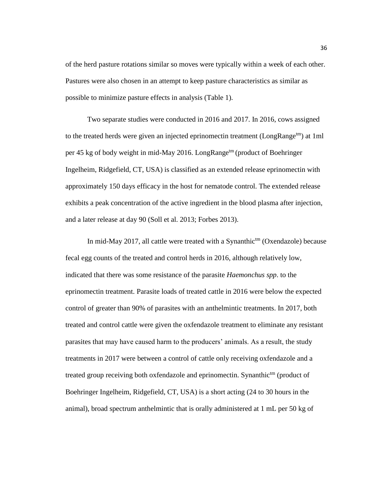of the herd pasture rotations similar so moves were typically within a week of each other. Pastures were also chosen in an attempt to keep pasture characteristics as similar as possible to minimize pasture effects in analysis (Table 1).

Two separate studies were conducted in 2016 and 2017. In 2016, cows assigned to the treated herds were given an injected eprinomectin treatment (LongRange<sup>tm</sup>) at 1ml per 45 kg of body weight in mid-May 2016. LongRange<sup>tm</sup> (product of Boehringer Ingelheim, Ridgefield, CT, USA) is classified as an extended release eprinomectin with approximately 150 days efficacy in the host for nematode control. The extended release exhibits a peak concentration of the active ingredient in the blood plasma after injection, and a later release at day 90 (Soll et al. 2013; Forbes 2013).

In mid-May 2017, all cattle were treated with a Synanthic<sup>tm</sup> (Oxendazole) because fecal egg counts of the treated and control herds in 2016, although relatively low, indicated that there was some resistance of the parasite *Haemonchus spp*. to the eprinomectin treatment. Parasite loads of treated cattle in 2016 were below the expected control of greater than 90% of parasites with an anthelmintic treatments. In 2017, both treated and control cattle were given the oxfendazole treatment to eliminate any resistant parasites that may have caused harm to the producers' animals. As a result, the study treatments in 2017 were between a control of cattle only receiving oxfendazole and a treated group receiving both oxfendazole and eprinomectin. Synanthic<sup>tm</sup> (product of Boehringer Ingelheim, Ridgefield, CT, USA) is a short acting (24 to 30 hours in the animal), broad spectrum anthelmintic that is orally administered at 1 mL per 50 kg of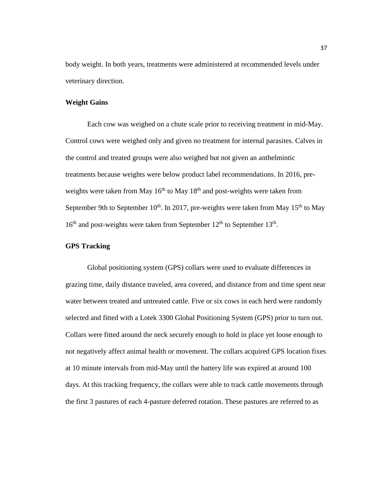body weight. In both years, treatments were administered at recommended levels under veterinary direction.

#### **Weight Gains**

Each cow was weighed on a chute scale prior to receiving treatment in mid-May. Control cows were weighed only and given no treatment for internal parasites. Calves in the control and treated groups were also weighed but not given an anthelmintic treatments because weights were below product label recommendations. In 2016, preweights were taken from May  $16<sup>th</sup>$  to May  $18<sup>th</sup>$  and post-weights were taken from September 9th to September 10<sup>th</sup>. In 2017, pre-weights were taken from May 15<sup>th</sup> to May  $16<sup>th</sup>$  and post-weights were taken from September  $12<sup>th</sup>$  to September  $13<sup>th</sup>$ .

#### **GPS Tracking**

Global positioning system (GPS) collars were used to evaluate differences in grazing time, daily distance traveled, area covered, and distance from and time spent near water between treated and untreated cattle. Five or six cows in each herd were randomly selected and fitted with a Lotek 3300 Global Positioning System (GPS) prior to turn out. Collars were fitted around the neck securely enough to hold in place yet loose enough to not negatively affect animal health or movement. The collars acquired GPS location fixes at 10 minute intervals from mid-May until the battery life was expired at around 100 days. At this tracking frequency, the collars were able to track cattle movements through the first 3 pastures of each 4-pasture deferred rotation. These pastures are referred to as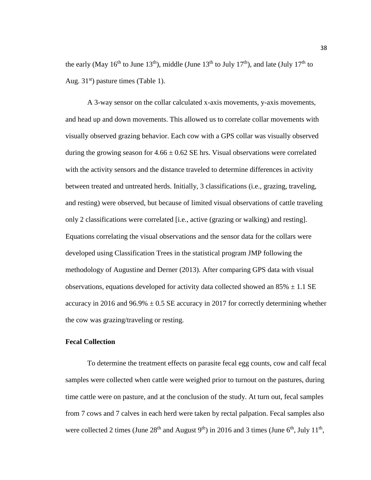the early (May 16<sup>th</sup> to June 13<sup>th</sup>), middle (June 13<sup>th</sup> to July 17<sup>th</sup>), and late (July 17<sup>th</sup> to Aug.  $31<sup>st</sup>$ ) pasture times (Table 1).

A 3-way sensor on the collar calculated x-axis movements, y-axis movements, and head up and down movements. This allowed us to correlate collar movements with visually observed grazing behavior. Each cow with a GPS collar was visually observed during the growing season for  $4.66 \pm 0.62$  SE hrs. Visual observations were correlated with the activity sensors and the distance traveled to determine differences in activity between treated and untreated herds. Initially, 3 classifications (i.e., grazing, traveling, and resting) were observed, but because of limited visual observations of cattle traveling only 2 classifications were correlated [i.e., active (grazing or walking) and resting]. Equations correlating the visual observations and the sensor data for the collars were developed using Classification Trees in the statistical program JMP following the methodology of Augustine and Derner (2013). After comparing GPS data with visual observations, equations developed for activity data collected showed an  $85\% \pm 1.1$  SE accuracy in 2016 and 96.9%  $\pm$  0.5 SE accuracy in 2017 for correctly determining whether the cow was grazing/traveling or resting.

#### **Fecal Collection**

To determine the treatment effects on parasite fecal egg counts, cow and calf fecal samples were collected when cattle were weighed prior to turnout on the pastures, during time cattle were on pasture, and at the conclusion of the study. At turn out, fecal samples from 7 cows and 7 calves in each herd were taken by rectal palpation. Fecal samples also were collected 2 times (June  $28<sup>th</sup>$  and August  $9<sup>th</sup>$ ) in 2016 and 3 times (June  $6<sup>th</sup>$ , July  $11<sup>th</sup>$ ,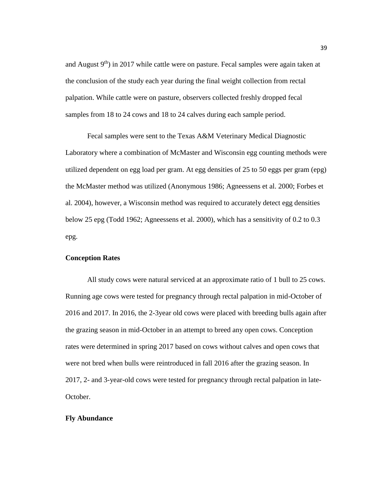and August  $9<sup>th</sup>$ ) in 2017 while cattle were on pasture. Fecal samples were again taken at the conclusion of the study each year during the final weight collection from rectal palpation. While cattle were on pasture, observers collected freshly dropped fecal samples from 18 to 24 cows and 18 to 24 calves during each sample period.

Fecal samples were sent to the Texas A&M Veterinary Medical Diagnostic Laboratory where a combination of McMaster and Wisconsin egg counting methods were utilized dependent on egg load per gram. At egg densities of 25 to 50 eggs per gram (epg) the McMaster method was utilized (Anonymous 1986; Agneessens et al. 2000; Forbes et al. 2004), however, a Wisconsin method was required to accurately detect egg densities below 25 epg (Todd 1962; Agneessens et al. 2000), which has a sensitivity of 0.2 to 0.3 epg.

#### **Conception Rates**

All study cows were natural serviced at an approximate ratio of 1 bull to 25 cows. Running age cows were tested for pregnancy through rectal palpation in mid-October of 2016 and 2017. In 2016, the 2-3year old cows were placed with breeding bulls again after the grazing season in mid-October in an attempt to breed any open cows. Conception rates were determined in spring 2017 based on cows without calves and open cows that were not bred when bulls were reintroduced in fall 2016 after the grazing season. In 2017, 2- and 3-year-old cows were tested for pregnancy through rectal palpation in late-October.

#### **Fly Abundance**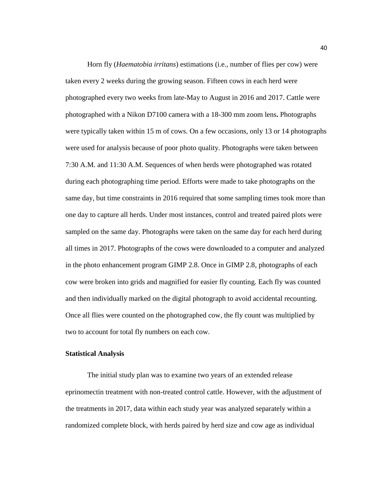Horn fly (*Haematobia irritans*) estimations (i.e., number of flies per cow) were taken every 2 weeks during the growing season. Fifteen cows in each herd were photographed every two weeks from late-May to August in 2016 and 2017. Cattle were photographed with a Nikon D7100 camera with a 18-300 mm zoom lens**.** Photographs were typically taken within 15 m of cows. On a few occasions, only 13 or 14 photographs were used for analysis because of poor photo quality. Photographs were taken between 7:30 A.M. and 11:30 A.M. Sequences of when herds were photographed was rotated during each photographing time period. Efforts were made to take photographs on the same day, but time constraints in 2016 required that some sampling times took more than one day to capture all herds. Under most instances, control and treated paired plots were sampled on the same day. Photographs were taken on the same day for each herd during all times in 2017. Photographs of the cows were downloaded to a computer and analyzed in the photo enhancement program GIMP 2.8. Once in GIMP 2.8, photographs of each cow were broken into grids and magnified for easier fly counting. Each fly was counted and then individually marked on the digital photograph to avoid accidental recounting. Once all flies were counted on the photographed cow, the fly count was multiplied by two to account for total fly numbers on each cow.

#### **Statistical Analysis**

The initial study plan was to examine two years of an extended release eprinomectin treatment with non-treated control cattle. However, with the adjustment of the treatments in 2017, data within each study year was analyzed separately within a randomized complete block, with herds paired by herd size and cow age as individual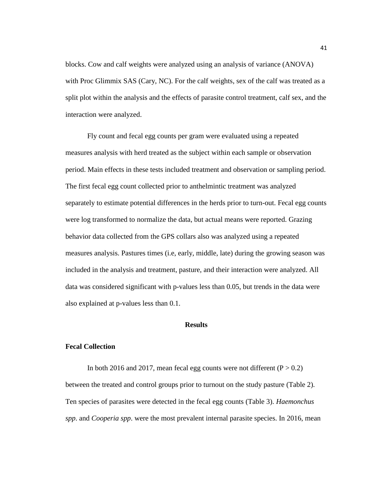blocks. Cow and calf weights were analyzed using an analysis of variance (ANOVA) with Proc Glimmix SAS (Cary, NC). For the calf weights, sex of the calf was treated as a split plot within the analysis and the effects of parasite control treatment, calf sex, and the interaction were analyzed.

Fly count and fecal egg counts per gram were evaluated using a repeated measures analysis with herd treated as the subject within each sample or observation period. Main effects in these tests included treatment and observation or sampling period. The first fecal egg count collected prior to anthelmintic treatment was analyzed separately to estimate potential differences in the herds prior to turn-out. Fecal egg counts were log transformed to normalize the data, but actual means were reported. Grazing behavior data collected from the GPS collars also was analyzed using a repeated measures analysis. Pastures times (i.e, early, middle, late) during the growing season was included in the analysis and treatment, pasture, and their interaction were analyzed. All data was considered significant with p-values less than 0.05, but trends in the data were also explained at p-values less than 0.1.

#### **Results**

#### **Fecal Collection**

In both 2016 and 2017, mean fecal egg counts were not different  $(P > 0.2)$ between the treated and control groups prior to turnout on the study pasture (Table 2). Ten species of parasites were detected in the fecal egg counts (Table 3). *Haemonchus spp*. and *Cooperia spp*. were the most prevalent internal parasite species. In 2016, mean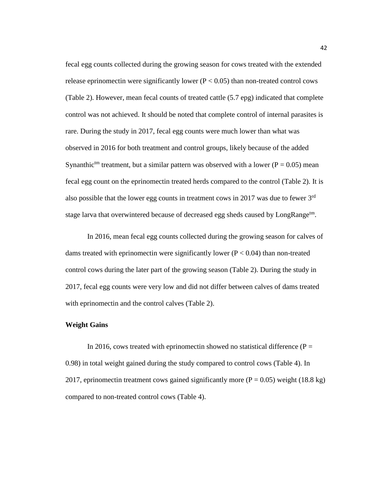fecal egg counts collected during the growing season for cows treated with the extended release eprinomectin were significantly lower  $(P < 0.05)$  than non-treated control cows (Table 2). However, mean fecal counts of treated cattle (5.7 epg) indicated that complete control was not achieved. It should be noted that complete control of internal parasites is rare. During the study in 2017, fecal egg counts were much lower than what was observed in 2016 for both treatment and control groups, likely because of the added Synanthic<sup>tm</sup> treatment, but a similar pattern was observed with a lower ( $P = 0.05$ ) mean fecal egg count on the eprinomectin treated herds compared to the control (Table 2). It is also possible that the lower egg counts in treatment cows in 2017 was due to fewer 3<sup>rd</sup> stage larva that overwintered because of decreased egg sheds caused by LongRange<sup>tm</sup>.

In 2016, mean fecal egg counts collected during the growing season for calves of dams treated with eprinomectin were significantly lower ( $P < 0.04$ ) than non-treated control cows during the later part of the growing season (Table 2). During the study in 2017, fecal egg counts were very low and did not differ between calves of dams treated with eprinomectin and the control calves (Table 2).

#### **Weight Gains**

In 2016, cows treated with eprinomectin showed no statistical difference ( $P =$ 0.98) in total weight gained during the study compared to control cows (Table 4). In 2017, eprinomectin treatment cows gained significantly more  $(P = 0.05)$  weight (18.8 kg) compared to non-treated control cows (Table 4).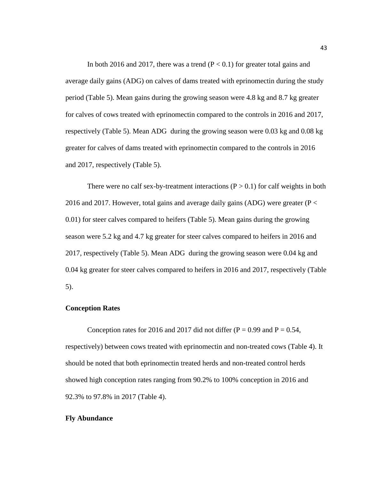In both 2016 and 2017, there was a trend  $(P < 0.1)$  for greater total gains and average daily gains (ADG) on calves of dams treated with eprinomectin during the study period (Table 5). Mean gains during the growing season were 4.8 kg and 8.7 kg greater for calves of cows treated with eprinomectin compared to the controls in 2016 and 2017, respectively (Table 5). Mean ADG during the growing season were 0.03 kg and 0.08 kg greater for calves of dams treated with eprinomectin compared to the controls in 2016 and 2017, respectively (Table 5).

There were no calf sex-by-treatment interactions  $(P > 0.1)$  for calf weights in both 2016 and 2017. However, total gains and average daily gains (ADG) were greater ( $P <$ 0.01) for steer calves compared to heifers (Table 5). Mean gains during the growing season were 5.2 kg and 4.7 kg greater for steer calves compared to heifers in 2016 and 2017, respectively (Table 5). Mean ADG during the growing season were 0.04 kg and 0.04 kg greater for steer calves compared to heifers in 2016 and 2017, respectively (Table 5).

#### **Conception Rates**

Conception rates for 2016 and 2017 did not differ ( $P = 0.99$  and  $P = 0.54$ , respectively) between cows treated with eprinomectin and non-treated cows (Table 4). It should be noted that both eprinomectin treated herds and non-treated control herds showed high conception rates ranging from 90.2% to 100% conception in 2016 and 92.3% to 97.8% in 2017 (Table 4).

#### **Fly Abundance**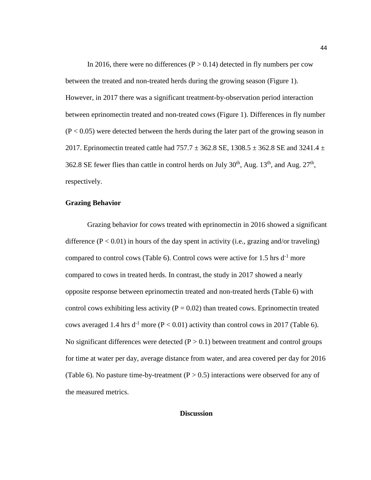In 2016, there were no differences ( $P > 0.14$ ) detected in fly numbers per cow between the treated and non-treated herds during the growing season (Figure 1). However, in 2017 there was a significant treatment-by-observation period interaction between eprinomectin treated and non-treated cows (Figure 1). Differences in fly number  $(P < 0.05)$  were detected between the herds during the later part of the growing season in 2017. Eprinomectin treated cattle had  $757.7 \pm 362.8$  SE,  $1308.5 \pm 362.8$  SE and 3241.4  $\pm$ 362.8 SE fewer flies than cattle in control herds on July  $30<sup>th</sup>$ , Aug.  $13<sup>th</sup>$ , and Aug.  $27<sup>th</sup>$ , respectively.

#### **Grazing Behavior**

Grazing behavior for cows treated with eprinomectin in 2016 showed a significant difference  $(P < 0.01)$  in hours of the day spent in activity (i.e., grazing and/or traveling) compared to control cows (Table 6). Control cows were active for 1.5 hrs  $d^{-1}$  more compared to cows in treated herds. In contrast, the study in 2017 showed a nearly opposite response between eprinomectin treated and non-treated herds (Table 6) with control cows exhibiting less activity ( $P = 0.02$ ) than treated cows. Eprinomectin treated cows averaged 1.4 hrs  $d^{-1}$  more (P < 0.01) activity than control cows in 2017 (Table 6). No significant differences were detected  $(P > 0.1)$  between treatment and control groups for time at water per day, average distance from water, and area covered per day for 2016 (Table 6). No pasture time-by-treatment  $(P > 0.5)$  interactions were observed for any of the measured metrics.

#### **Discussion**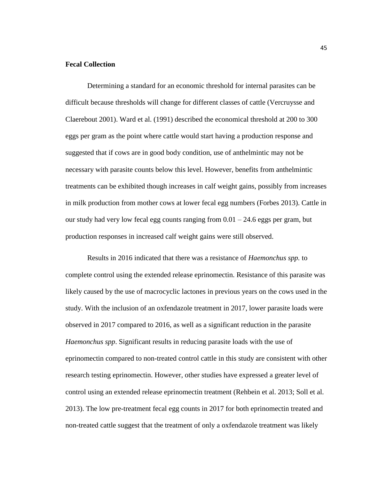#### **Fecal Collection**

Determining a standard for an economic threshold for internal parasites can be difficult because thresholds will change for different classes of cattle (Vercruysse and Claerebout 2001). Ward et al. (1991) described the economical threshold at 200 to 300 eggs per gram as the point where cattle would start having a production response and suggested that if cows are in good body condition, use of anthelmintic may not be necessary with parasite counts below this level. However, benefits from anthelmintic treatments can be exhibited though increases in calf weight gains, possibly from increases in milk production from mother cows at lower fecal egg numbers (Forbes 2013). Cattle in our study had very low fecal egg counts ranging from  $0.01 - 24.6$  eggs per gram, but production responses in increased calf weight gains were still observed.

Results in 2016 indicated that there was a resistance of *Haemonchus spp.* to complete control using the extended release eprinomectin. Resistance of this parasite was likely caused by the use of macrocyclic lactones in previous years on the cows used in the study. With the inclusion of an oxfendazole treatment in 2017, lower parasite loads were observed in 2017 compared to 2016, as well as a significant reduction in the parasite *Haemonchus spp*. Significant results in reducing parasite loads with the use of eprinomectin compared to non-treated control cattle in this study are consistent with other research testing eprinomectin. However, other studies have expressed a greater level of control using an extended release eprinomectin treatment (Rehbein et al. 2013; Soll et al. 2013). The low pre-treatment fecal egg counts in 2017 for both eprinomectin treated and non-treated cattle suggest that the treatment of only a oxfendazole treatment was likely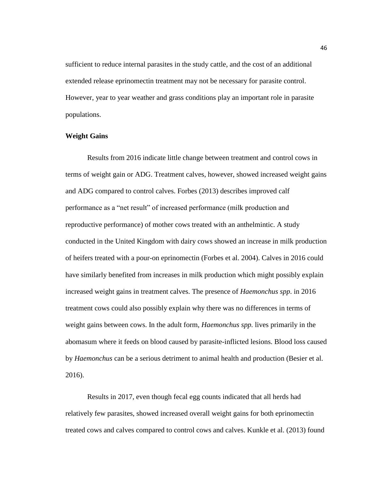sufficient to reduce internal parasites in the study cattle, and the cost of an additional extended release eprinomectin treatment may not be necessary for parasite control. However, year to year weather and grass conditions play an important role in parasite populations.

#### **Weight Gains**

Results from 2016 indicate little change between treatment and control cows in terms of weight gain or ADG. Treatment calves, however, showed increased weight gains and ADG compared to control calves. Forbes (2013) describes improved calf performance as a "net result" of increased performance (milk production and reproductive performance) of mother cows treated with an anthelmintic. A study conducted in the United Kingdom with dairy cows showed an increase in milk production of heifers treated with a pour-on eprinomectin (Forbes et al. 2004). Calves in 2016 could have similarly benefited from increases in milk production which might possibly explain increased weight gains in treatment calves. The presence of *Haemonchus spp*. in 2016 treatment cows could also possibly explain why there was no differences in terms of weight gains between cows. In the adult form, *Haemonchus spp.* lives primarily in the abomasum where it feeds on blood caused by parasite-inflicted lesions. Blood loss caused by *Haemonchus* can be a serious detriment to animal health and production (Besier et al. 2016).

Results in 2017, even though fecal egg counts indicated that all herds had relatively few parasites, showed increased overall weight gains for both eprinomectin treated cows and calves compared to control cows and calves. Kunkle et al. (2013) found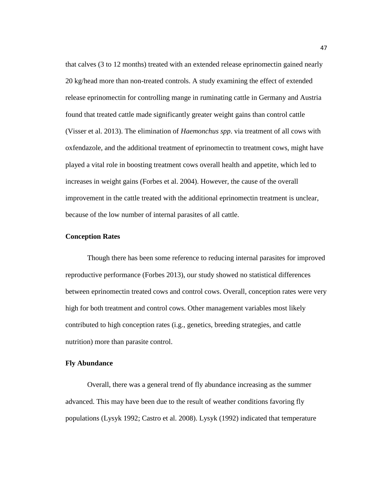that calves (3 to 12 months) treated with an extended release eprinomectin gained nearly 20 kg/head more than non-treated controls. A study examining the effect of extended release eprinomectin for controlling mange in ruminating cattle in Germany and Austria found that treated cattle made significantly greater weight gains than control cattle (Visser et al. 2013). The elimination of *Haemonchus spp*. via treatment of all cows with oxfendazole, and the additional treatment of eprinomectin to treatment cows, might have played a vital role in boosting treatment cows overall health and appetite, which led to increases in weight gains (Forbes et al. 2004). However, the cause of the overall improvement in the cattle treated with the additional eprinomectin treatment is unclear, because of the low number of internal parasites of all cattle.

#### **Conception Rates**

Though there has been some reference to reducing internal parasites for improved reproductive performance (Forbes 2013), our study showed no statistical differences between eprinomectin treated cows and control cows. Overall, conception rates were very high for both treatment and control cows. Other management variables most likely contributed to high conception rates (i.g., genetics, breeding strategies, and cattle nutrition) more than parasite control.

#### **Fly Abundance**

Overall, there was a general trend of fly abundance increasing as the summer advanced. This may have been due to the result of weather conditions favoring fly populations (Lysyk 1992; Castro et al. 2008). Lysyk (1992) indicated that temperature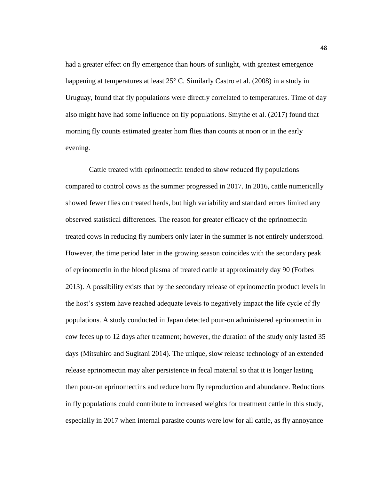had a greater effect on fly emergence than hours of sunlight, with greatest emergence happening at temperatures at least 25° C. Similarly Castro et al. (2008) in a study in Uruguay, found that fly populations were directly correlated to temperatures. Time of day also might have had some influence on fly populations. Smythe et al. (2017) found that morning fly counts estimated greater horn flies than counts at noon or in the early evening.

Cattle treated with eprinomectin tended to show reduced fly populations compared to control cows as the summer progressed in 2017. In 2016, cattle numerically showed fewer flies on treated herds, but high variability and standard errors limited any observed statistical differences. The reason for greater efficacy of the eprinomectin treated cows in reducing fly numbers only later in the summer is not entirely understood. However, the time period later in the growing season coincides with the secondary peak of eprinomectin in the blood plasma of treated cattle at approximately day 90 (Forbes 2013). A possibility exists that by the secondary release of eprinomectin product levels in the host's system have reached adequate levels to negatively impact the life cycle of fly populations. A study conducted in Japan detected pour-on administered eprinomectin in cow feces up to 12 days after treatment; however, the duration of the study only lasted 35 days (Mitsuhiro and Sugitani 2014). The unique, slow release technology of an extended release eprinomectin may alter persistence in fecal material so that it is longer lasting then pour-on eprinomectins and reduce horn fly reproduction and abundance. Reductions in fly populations could contribute to increased weights for treatment cattle in this study, especially in 2017 when internal parasite counts were low for all cattle, as fly annoyance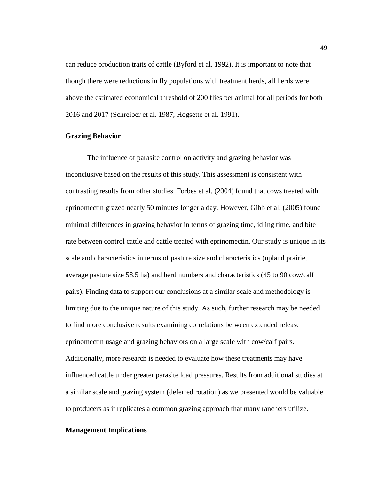can reduce production traits of cattle (Byford et al. 1992). It is important to note that though there were reductions in fly populations with treatment herds, all herds were above the estimated economical threshold of 200 flies per animal for all periods for both 2016 and 2017 (Schreiber et al. 1987; Hogsette et al. 1991).

#### **Grazing Behavior**

The influence of parasite control on activity and grazing behavior was inconclusive based on the results of this study. This assessment is consistent with contrasting results from other studies. Forbes et al. (2004) found that cows treated with eprinomectin grazed nearly 50 minutes longer a day. However, Gibb et al. (2005) found minimal differences in grazing behavior in terms of grazing time, idling time, and bite rate between control cattle and cattle treated with eprinomectin. Our study is unique in its scale and characteristics in terms of pasture size and characteristics (upland prairie, average pasture size 58.5 ha) and herd numbers and characteristics (45 to 90 cow/calf pairs). Finding data to support our conclusions at a similar scale and methodology is limiting due to the unique nature of this study. As such, further research may be needed to find more conclusive results examining correlations between extended release eprinomectin usage and grazing behaviors on a large scale with cow/calf pairs. Additionally, more research is needed to evaluate how these treatments may have influenced cattle under greater parasite load pressures. Results from additional studies at a similar scale and grazing system (deferred rotation) as we presented would be valuable to producers as it replicates a common grazing approach that many ranchers utilize.

#### **Management Implications**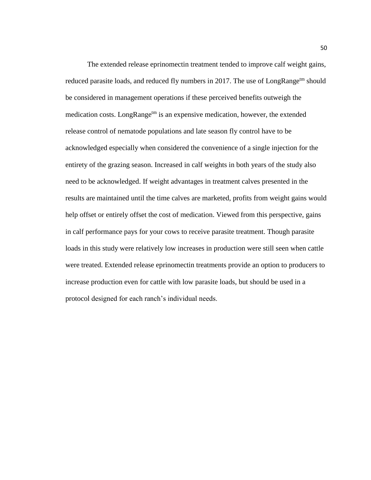The extended release eprinomectin treatment tended to improve calf weight gains, reduced parasite loads, and reduced fly numbers in 2017. The use of LongRange<sup>tm</sup> should be considered in management operations if these perceived benefits outweigh the medication costs. LongRange<sup>tm</sup> is an expensive medication, however, the extended release control of nematode populations and late season fly control have to be acknowledged especially when considered the convenience of a single injection for the entirety of the grazing season. Increased in calf weights in both years of the study also need to be acknowledged. If weight advantages in treatment calves presented in the results are maintained until the time calves are marketed, profits from weight gains would help offset or entirely offset the cost of medication. Viewed from this perspective, gains in calf performance pays for your cows to receive parasite treatment. Though parasite loads in this study were relatively low increases in production were still seen when cattle were treated. Extended release eprinomectin treatments provide an option to producers to increase production even for cattle with low parasite loads, but should be used in a protocol designed for each ranch's individual needs.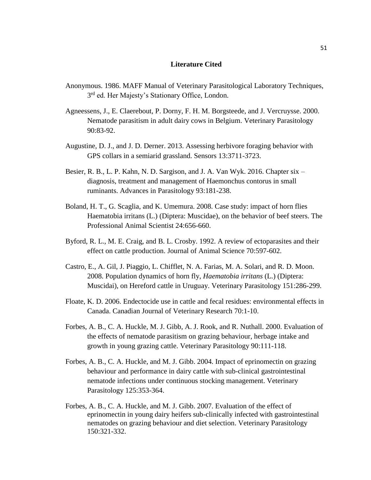#### **Literature Cited**

- Anonymous. 1986. MAFF Manual of Veterinary Parasitological Laboratory Techniques, 3<sup>rd</sup> ed. Her Majesty's Stationary Office, London.
- Agneessens, J., E. Claerebout, P. Dorny, F. H. M. Borgsteede, and J. Vercruysse. 2000. Nematode parasitism in adult dairy cows in Belgium. Veterinary Parasitology 90:83-92.
- Augustine, D. J., and J. D. Derner. 2013. Assessing herbivore foraging behavior with GPS collars in a semiarid grassland. Sensors 13:3711-3723.
- Besier, R. B., L. P. Kahn, N. D. Sargison, and J. A. Van Wyk. 2016. Chapter six diagnosis, treatment and management of Haemonchus contorus in small ruminants. Advances in Parasitology 93:181-238.
- Boland, H. T., G. Scaglia, and K. Umemura. 2008. Case study: impact of horn flies Haematobia irritans (L.) (Diptera: Muscidae), on the behavior of beef steers. The Professional Animal Scientist 24:656-660.
- Byford, R. L., M. E. Craig, and B. L. Crosby. 1992. A review of ectoparasites and their effect on cattle production. Journal of Animal Science 70:597-602.
- Castro, E., A. Gil, J. Piaggio, L. Chifflet, N. A. Farias, M. A. Solari, and R. D. Moon. 2008. Population dynamics of horn fly, *Haematobia irritans* (L.) (Diptera: Muscidai), on Hereford cattle in Uruguay. Veterinary Parasitology 151:286-299.
- Floate, K. D. 2006. Endectocide use in cattle and fecal residues: environmental effects in Canada. Canadian Journal of Veterinary Research 70:1-10.
- Forbes, A. B., C. A. Huckle, M. J. Gibb, A. J. Rook, and R. Nuthall. 2000. Evaluation of the effects of nematode parasitism on grazing behaviour, herbage intake and growth in young grazing cattle. Veterinary Parasitology 90:111-118.
- Forbes, A. B., C. A. Huckle, and M. J. Gibb. 2004. Impact of eprinomectin on grazing behaviour and performance in dairy cattle with sub-clinical gastrointestinal nematode infections under continuous stocking management. Veterinary Parasitology 125:353-364.
- Forbes, A. B., C. A. Huckle, and M. J. Gibb. 2007. Evaluation of the effect of eprinomectin in young dairy heifers sub-clinically infected with gastrointestinal nematodes on grazing behaviour and diet selection. Veterinary Parasitology 150:321-332.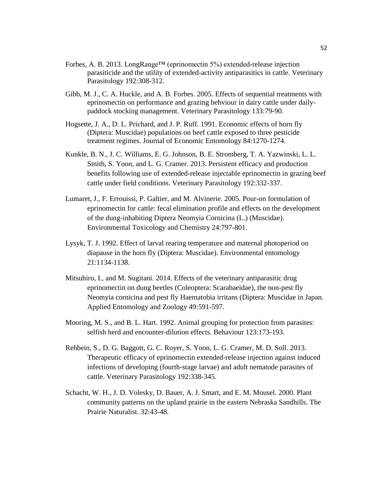- Forbes, A. B. 2013. LongRange™ (eprinomectin 5%) extended-release injection parasiticide and the utility of extended-activity antiparasitics in cattle. Veterinary Parasitology 192:308-312.
- Gibb, M. J., C. A. Huckle, and A. B. Forbes. 2005. Effects of sequential treatments with eprinomectin on performance and grazing behviour in dairy cattle under dailypaddock stocking management. Veterinary Parasitology 133:79-90.
- Hogsette, J. A., D. L. Prichard, and J. P. Ruff. 1991. Economic effects of horn fly (Diptera: Muscidae) populations on beef cattle exposed to three pesticide treatment regimes. Journal of Economic Entomology 84:1270-1274.
- Kunkle, B. N., J. C. Williams, E. G. Johnson, B. E. Stromberg, T. A. Yazwinski, L. L. Smith, S. Yoon, and L. G. Cramer. 2013. Persistent efficacy and production benefits following use of extended-release injectable eprinomectin in grazing beef cattle under field conditions. Veterinary Parasitology 192:332-337.
- Lumaret, J., F. Errouissi, P. Galtier, and M. Alvinerie. 2005. Pour-on formulation of eprinomectin for cattle: fecal elimination profile and effects on the development of the dung-inhabiting Diptera Neomyia Cornicina (L.) (Muscidae). Environmental Toxicology and Chemistry 24:797-801.
- Lysyk, T. J. 1992. Effect of larval rearing temperature and maternal photoperiod on diapause in the horn fly (Diptera: Muscidae). Environmental entomology 21:1134-1138.
- Mitsuhiro, I., and M. Sugitani. 2014. Effects of the veterinary antiparasitic drug eprinomectin on dung beetles (Coleoptera: Scarabaeidae), the non-pest fly Neomyia cornicina and pest fly Haematobia irritans (Diptera: Muscidae in Japan. Applied Entomology and Zoology 49:591-597.
- Mooring, M. S., and B. L. Hart. 1992. Animal grouping for protection from parasites: selfish herd and encounter-dilution effects. Behaviour 123:173-193.
- Rehbein, S., D. G. Baggott, G. C. Royer, S. Yoon, L. G. Cramer, M. D. Soll. 2013. Therapeutic efficacy of eprinomectin extended-release injection against induced infections of developing (fourth-stage larvae) and adult nematode parasites of cattle. Veterinary Parasitology 192:338-345.
- Schacht, W. H., J. D. Volesky, D. Bauer, A. J. Smart, and E. M. Mousel. 2000. Plant community patterns on the upland prairie in the eastern Nebraska Sandhills. The Prairie Naturalist. 32:43-48.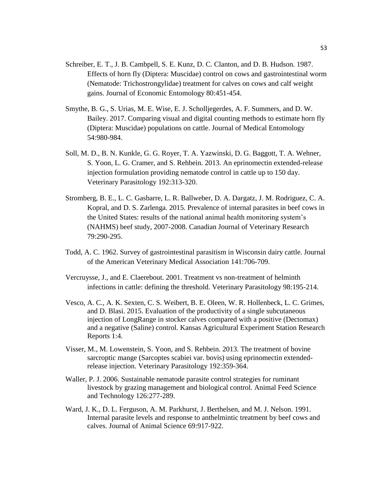- Schreiber, E. T., J. B. Cambpell, S. E. Kunz, D. C. Clanton, and D. B. Hudson. 1987. Effects of horn fly (Diptera: Muscidae) control on cows and gastrointestinal worm (Nematode: Trichostrongylidae) treatment for calves on cows and calf weight gains. Journal of Economic Entomology 80:451-454.
- Smythe, B. G., S. Urias, M. E. Wise, E. J. Scholljegerdes, A. F. Summers, and D. W. Bailey. 2017. Comparing visual and digital counting methods to estimate horn fly (Diptera: Muscidae) populations on cattle. Journal of Medical Entomology 54:980-984.
- Soll, M. D., B. N. Kunkle, G. G. Royer, T. A. Yazwinski, D. G. Baggott, T. A. Wehner, S. Yoon, L. G. Cramer, and S. Rehbein. 2013. An eprinomectin extended-release injection formulation providing nematode control in cattle up to 150 day. Veterinary Parasitology 192:313-320.
- Stromberg, B. E., L. C. Gasbarre, L. R. Ballweber, D. A. Dargatz, J. M. Rodriguez, C. A. Kopral, and D. S. Zarlenga. 2015. Prevalence of internal parasites in beef cows in the United States: results of the national animal health monitoring system's (NAHMS) beef study, 2007-2008. Canadian Journal of Veterinary Research 79:290-295.
- Todd, A. C. 1962. Survey of gastrointestinal parasitism in Wisconsin dairy cattle. Journal of the American Veterinary Medical Association 141:706-709.
- Vercruysse, J., and E. Claerebout. 2001. Treatment vs non-treatment of helminth infections in cattle: defining the threshold. Veterinary Parasitology 98:195-214.
- Vesco, A. C., A. K. Sexten, C. S. Weibert, B. E. Oleen, W. R. Hollenbeck, L. C. Grimes, and D. Blasi. 2015. Evaluation of the productivity of a single subcutaneous injection of LongRange in stocker calves compared with a positive (Dectomax) and a negative (Saline) control. Kansas Agricultural Experiment Station Research Reports 1:4.
- Visser, M., M. Lowenstein, S. Yoon, and S. Rehbein. 2013. The treatment of bovine sarcroptic mange (Sarcoptes scabiei var. bovis) using eprinomectin extendedrelease injection. Veterinary Parasitology 192:359-364.
- Waller, P. J. 2006. Sustainable nematode parasite control strategies for ruminant livestock by grazing management and biological control. Animal Feed Science and Technology 126:277-289.
- Ward, J. K., D. L. Ferguson, A. M. Parkhurst, J. Berthelsen, and M. J. Nelson. 1991. Internal parasite levels and response to anthelmintic treatment by beef cows and calves. Journal of Animal Science 69:917-922.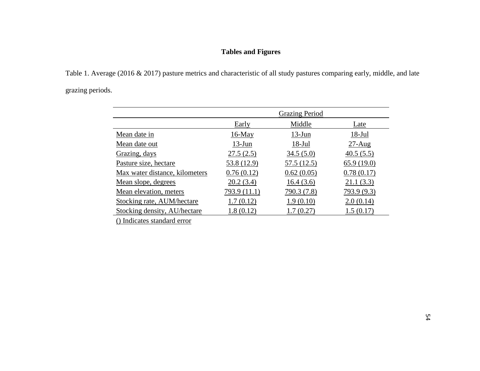### **Tables and Figures**

Table 1. Average (2016 & 2017) pasture metrics and characteristic of all study pastures comparing early, middle, and late grazing periods.

|                                |               | <b>Grazing Period</b> |             |
|--------------------------------|---------------|-----------------------|-------------|
|                                |               |                       |             |
|                                | <b>Early</b>  | Middle                | Late        |
| Mean date in                   | <u>16-May</u> | $13$ -Jun             | $18-Jul$    |
| Mean date out                  | $13$ -Jun     | $18$ -Jul             | $27-Aug$    |
| Grazing, days                  | 27.5(2.5)     | 34.5(5.0)             | 40.5(5.5)   |
| Pasture size, hectare          | 53.8 (12.9)   | 57.5 (12.5)           | 65.9(19.0)  |
| Max water distance, kilometers | 0.76(0.12)    | 0.62(0.05)            | 0.78(0.17)  |
| Mean slope, degrees            | 20.2(3.4)     | 16.4(3.6)             | 21.1(3.3)   |
| Mean elevation, meters         | 793.9 (11.1)  | 790.3 (7.8)           | 793.9 (9.3) |
| Stocking rate, AUM/hectare     | 1.7(0.12)     | 1.9(0.10)             | 2.0(0.14)   |
| Stocking density, AU/hectare   | 1.8(0.12)     | 1.7(0.27)             | 1.5(0.17)   |

() Indicates standard error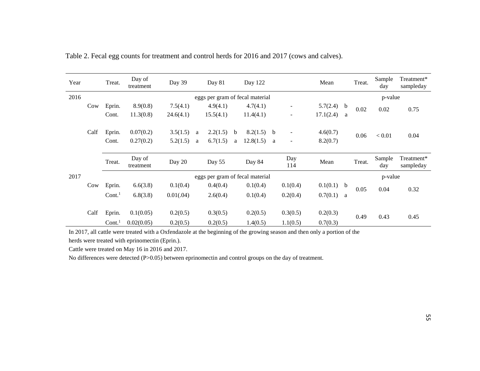| Year |      | Treat.                          | Day of<br>treatment | Day 39                          |   | Day 81    |   | Day 122   |   |                   | Mean         |         | Treat.  | Sample<br>day | Treatment*<br>sampleday |
|------|------|---------------------------------|---------------------|---------------------------------|---|-----------|---|-----------|---|-------------------|--------------|---------|---------|---------------|-------------------------|
| 2016 |      | eggs per gram of fecal material |                     |                                 |   |           |   |           |   |                   |              |         | p-value |               |                         |
|      | Cow  | Eprin.                          | 8.9(0.8)            | 7.5(4.1)                        |   | 4.9(4.1)  |   | 4.7(4.1)  |   |                   | $5.7(2.4)$ b |         | 0.02    | 0.02          | 0.75                    |
|      |      | Cont.                           | 11.3(0.8)           | 24.6(4.1)                       |   | 15.5(4.1) |   | 11.4(4.1) |   |                   | 17.1(2.4)    | a       |         |               |                         |
|      |      |                                 |                     |                                 |   |           |   |           |   |                   |              |         |         |               |                         |
|      | Calf | Eprin.                          | 0.07(0.2)           | 3.5(1.5)                        | a | 2.2(1.5)  | b | 8.2(1.5)  | b | $\qquad \qquad -$ | 4.6(0.7)     |         | 0.06    | < 0.01        | 0.04                    |
|      |      | Cont.                           | 0.27(0.2)           | 5.2(1.5)                        | a | 6.7(1.5)  | a | 12.8(1.5) | a | $\qquad \qquad -$ | 8.2(0.7)     |         |         |               |                         |
|      |      |                                 |                     |                                 |   |           |   |           |   |                   |              |         |         |               |                         |
|      |      | Treat.                          | Day of<br>treatment | Day 20                          |   | Day 55    |   | Day 84    |   | Day<br>114        | Mean         |         | Treat.  | Sample<br>day | Treatment*<br>sampleday |
| 2017 |      |                                 |                     | eggs per gram of fecal material |   |           |   |           |   |                   |              | p-value |         |               |                         |
|      | Cow  | Eprin.                          | 6.6(3.8)            | 0.1(0.4)                        |   | 0.4(0.4)  |   | 0.1(0.4)  |   | 0.1(0.4)          | $0.1(0.1)$ b |         | 0.05    | 0.04          | 0.32                    |
|      |      | $Cont.$ <sup>1</sup>            | 6.8(3.8)            | 0.01(.04)                       |   | 2.6(0.4)  |   | 0.1(0.4)  |   | 0.2(0.4)          | 0.7(0.1)     | a       |         |               |                         |
|      |      |                                 |                     |                                 |   |           |   |           |   |                   |              |         |         |               |                         |
|      | Calf | Eprin.                          | 0.1(0.05)           | 0.2(0.5)                        |   | 0.3(0.5)  |   | 0.2(0.5)  |   | 0.3(0.5)          | 0.2(0.3)     |         | 0.49    | 0.43          | 0.45                    |
|      |      | Cont.                           | 0.02(0.05)          | 0.2(0.5)                        |   | 0.2(0.5)  |   | 1.4(0.5)  |   | 1.1(0.5)          | 0.7(0.3)     |         |         |               |                         |

Table 2. Fecal egg counts for treatment and control herds for 2016 and 2017 (cows and calves).

In 2017, all cattle were treated with a Oxfendazole at the beginning of the growing season and then only a portion of the

herds were treated with eprinomectin (Eprin.).

Cattle were treated on May 16 in 2016 and 2017.

No differences were detected (P>0.05) between eprinomectin and control groups on the day of treatment.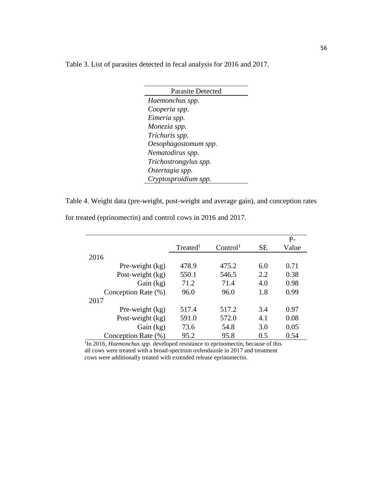Table 3. List of parasites detected in fecal analysis for 2016 and 2017.

| <b>Parasite Detected</b> |
|--------------------------|
| Haemonchus spp.          |
| Cooperia spp.            |
| Eimeria spp.             |
| Monezia spp.             |
| Trichuris spp.           |
| Oesophagostomum spp.     |
| Nematodirus spp.         |
| Trichostrongylus spp.    |
| Ostertagia spp.          |
| Cryptosproidium spp.     |

Table 4. Weight data (pre-weight, post-weight and average gain), and conception rates

|                     |                      |                      |           | P-    |
|---------------------|----------------------|----------------------|-----------|-------|
|                     | Treated <sup>1</sup> | Control <sup>1</sup> | <b>SE</b> | Value |
| 2016                |                      |                      |           |       |
| Pre-weight $(kg)$   | 478.9                | 475.2                | 6.0       | 0.71  |
| Post-weight $(kg)$  | 550.1                | 546.5                | 2.2       | 0.38  |
| Gain $(kg)$         | 71.2                 | 71.4                 | 4.0       | 0.98  |
| Conception Rate (%) | 96.0                 | 96.0                 | 1.8       | 0.99  |
| 2017                |                      |                      |           |       |
| Pre-weight $(kg)$   | 517.4                | 517.2                | 3.4       | 0.97  |
| Post-weight $(kg)$  | 591.0                | 572.0                | 4.1       | 0.08  |
| Gain (kg)           | 73.6                 | 54.8                 | 3.0       | 0.05  |
| Conception Rate (%) | 95.2                 | 95.8                 | 0.5       | 0.54  |

for treated (eprinomectin) and control cows in 2016 and 2017.

<sup>1</sup>In 2016, *Haemonchus spp*. developed resistance to eprinomectin, because of this all cows were treated with a broad-spectrum oxfendazole in 2017 and treatment cows were additionally treated with extended release eprinomectin.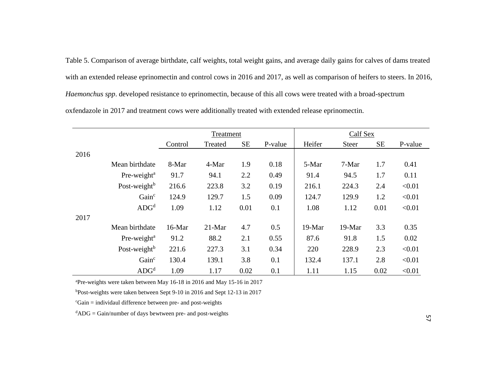Table 5. Comparison of average birthdate, calf weights, total weight gains, and average daily gains for calves of dams treated with an extended release eprinomectin and control cows in 2016 and 2017, as well as comparison of heifers to steers. In 2016, *Haemonchus spp*. developed resistance to eprinomectin, because of this all cows were treated with a broad-spectrum oxfendazole in 2017 and treatment cows were additionally treated with extended release eprinomectin.

|      |                          |         | Treatment |           |         | Calf Sex |              |           |         |  |  |
|------|--------------------------|---------|-----------|-----------|---------|----------|--------------|-----------|---------|--|--|
|      |                          | Control | Treated   | <b>SE</b> | P-value | Heifer   | <b>Steer</b> | <b>SE</b> | P-value |  |  |
| 2016 |                          |         |           |           |         |          |              |           |         |  |  |
|      | Mean birthdate           | 8-Mar   | 4-Mar     | 1.9       | 0.18    | 5-Mar    | 7-Mar        | 1.7       | 0.41    |  |  |
|      | Pre-weight <sup>a</sup>  | 91.7    | 94.1      | 2.2       | 0.49    | 91.4     | 94.5         | 1.7       | 0.11    |  |  |
|      | Post-weight <sup>b</sup> | 216.6   | 223.8     | 3.2       | 0.19    | 216.1    | 224.3        | 2.4       | < 0.01  |  |  |
|      | Gain <sup>c</sup>        | 124.9   | 129.7     | 1.5       | 0.09    | 124.7    | 129.9        | 1.2       | < 0.01  |  |  |
|      | $\rm{ADG}^d$             | 1.09    | 1.12      | 0.01      | 0.1     | 1.08     | 1.12         | 0.01      | < 0.01  |  |  |
| 2017 |                          |         |           |           |         |          |              |           |         |  |  |
|      | Mean birthdate           | 16-Mar  | $21-Mar$  | 4.7       | 0.5     | 19-Mar   | 19-Mar       | 3.3       | 0.35    |  |  |
|      | Pre-weight <sup>a</sup>  | 91.2    | 88.2      | 2.1       | 0.55    | 87.6     | 91.8         | 1.5       | 0.02    |  |  |
|      | Post-weight <sup>b</sup> | 221.6   | 227.3     | 3.1       | 0.34    | 220      | 228.9        | 2.3       | < 0.01  |  |  |
|      | Gain <sup>c</sup>        | 130.4   | 139.1     | 3.8       | 0.1     | 132.4    | 137.1        | 2.8       | < 0.01  |  |  |
|      | $\rm{ADG}^d$             | 1.09    | 1.17      | 0.02      | 0.1     | 1.11     | 1.15         | 0.02      | < 0.01  |  |  |

<sup>a</sup>Pre-weights were taken between May 16-18 in 2016 and May 15-16 in 2017

<sup>b</sup>Post-weights were taken between Sept 9-10 in 2016 and Sept 12-13 in 2017

 $C<sub>Gain</sub> = individual difference between pre- and post-weights$ 

 $d$ ADG = Gain/number of days bewtween pre- and post-weights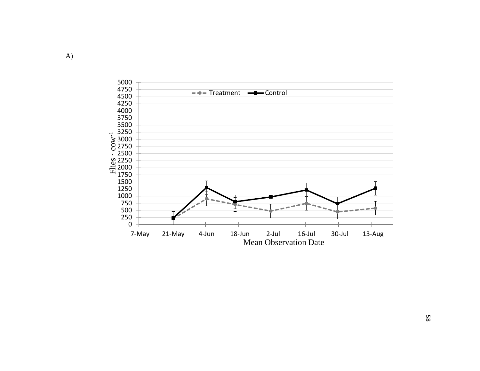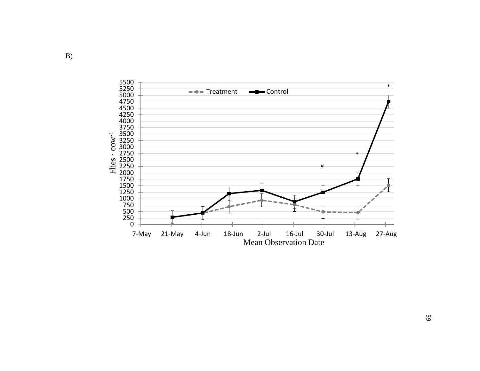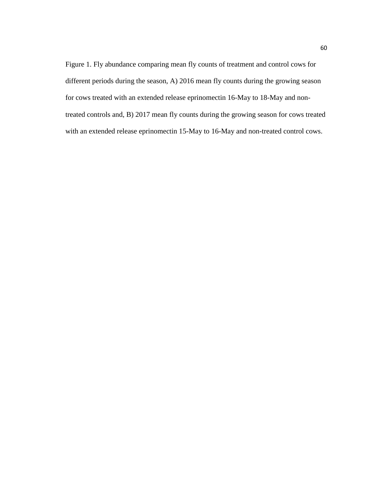Figure 1. Fly abundance comparing mean fly counts of treatment and control cows for different periods during the season, A) 2016 mean fly counts during the growing season for cows treated with an extended release eprinomectin 16-May to 18-May and nontreated controls and, B) 2017 mean fly counts during the growing season for cows treated with an extended release eprinomectin 15-May to 16-May and non-treated control cows.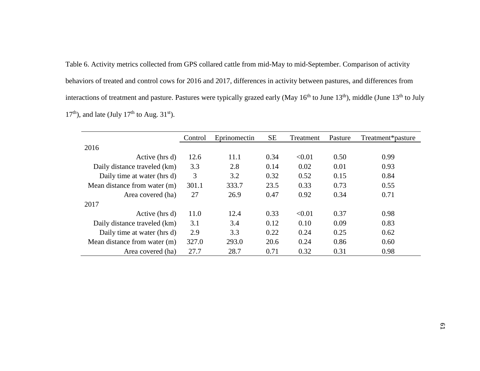Table 6. Activity metrics collected from GPS collared cattle from mid-May to mid-September. Comparison of activity behaviors of treated and control cows for 2016 and 2017, differences in activity between pastures, and differences from interactions of treatment and pasture. Pastures were typically grazed early (May  $16^{th}$  to June  $13^{th}$ ), middle (June  $13^{th}$  to July  $17<sup>th</sup>$ ), and late (July  $17<sup>th</sup>$  to Aug. 31<sup>st</sup>).

|                              | Control | Eprinomectin | <b>SE</b> | Treatment | Pasture | Treatment*pasture |
|------------------------------|---------|--------------|-----------|-----------|---------|-------------------|
| 2016                         |         |              |           |           |         |                   |
| Active (hrs d)               | 12.6    | 11.1         | 0.34      | < 0.01    | 0.50    | 0.99              |
| Daily distance traveled (km) | 3.3     | 2.8          | 0.14      | 0.02      | 0.01    | 0.93              |
| Daily time at water (hrs d)  | 3       | 3.2          | 0.32      | 0.52      | 0.15    | 0.84              |
| Mean distance from water (m) | 301.1   | 333.7        | 23.5      | 0.33      | 0.73    | 0.55              |
| Area covered (ha)            | 27      | 26.9         | 0.47      | 0.92      | 0.34    | 0.71              |
| 2017                         |         |              |           |           |         |                   |
| Active (hrs d)               | 11.0    | 12.4         | 0.33      | < 0.01    | 0.37    | 0.98              |
| Daily distance traveled (km) | 3.1     | 3.4          | 0.12      | 0.10      | 0.09    | 0.83              |
| Daily time at water (hrs d)  | 2.9     | 3.3          | 0.22      | 0.24      | 0.25    | 0.62              |
| Mean distance from water (m) | 327.0   | 293.0        | 20.6      | 0.24      | 0.86    | 0.60              |
| Area covered (ha)            | 27.7    | 28.7         | 0.71      | 0.32      | 0.31    | 0.98              |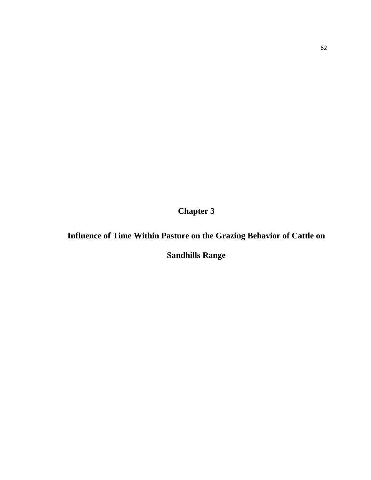**Chapter 3**

## **Influence of Time Within Pasture on the Grazing Behavior of Cattle on**

**Sandhills Range**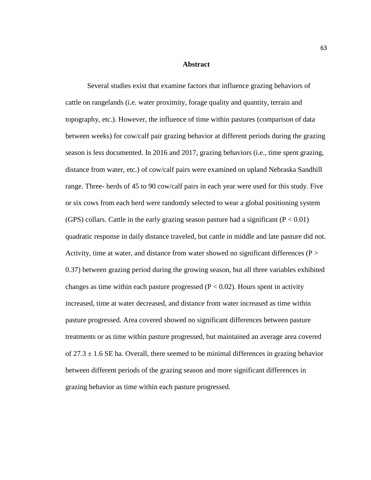#### **Abstract**

Several studies exist that examine factors that influence grazing behaviors of cattle on rangelands (i.e. water proximity, forage quality and quantity, terrain and topography, etc.). However, the influence of time within pastures (comparison of data between weeks) for cow/calf pair grazing behavior at different periods during the grazing season is less documented. In 2016 and 2017, grazing behaviors (i.e., time spent grazing, distance from water, etc.) of cow/calf pairs were examined on upland Nebraska Sandhill range. Three- herds of 45 to 90 cow/calf pairs in each year were used for this study. Five or six cows from each herd were randomly selected to wear a global positioning system (GPS) collars. Cattle in the early grazing season pasture had a significant ( $P < 0.01$ ) quadratic response in daily distance traveled, but cattle in middle and late pasture did not. Activity, time at water, and distance from water showed no significant differences ( $P >$ 0.37) between grazing period during the growing season, but all three variables exhibited changes as time within each pasture progressed ( $P < 0.02$ ). Hours spent in activity increased, time at water decreased, and distance from water increased as time within pasture progressed. Area covered showed no significant differences between pasture treatments or as time within pasture progressed, but maintained an average area covered of  $27.3 \pm 1.6$  SE ha. Overall, there seemed to be minimal differences in grazing behavior between different periods of the grazing season and more significant differences in grazing behavior as time within each pasture progressed.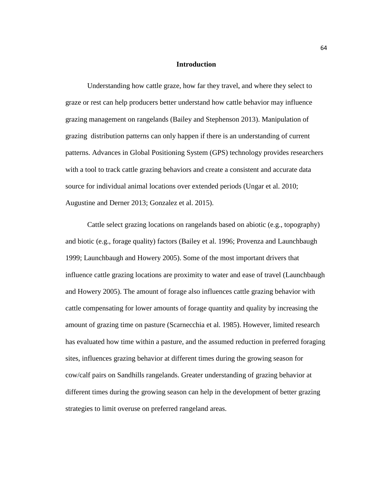#### **Introduction**

Understanding how cattle graze, how far they travel, and where they select to graze or rest can help producers better understand how cattle behavior may influence grazing management on rangelands (Bailey and Stephenson 2013). Manipulation of grazing distribution patterns can only happen if there is an understanding of current patterns. Advances in Global Positioning System (GPS) technology provides researchers with a tool to track cattle grazing behaviors and create a consistent and accurate data source for individual animal locations over extended periods (Ungar et al. 2010; Augustine and Derner 2013; Gonzalez et al. 2015).

Cattle select grazing locations on rangelands based on abiotic (e.g., topography) and biotic (e.g., forage quality) factors (Bailey et al. 1996; Provenza and Launchbaugh 1999; Launchbaugh and Howery 2005). Some of the most important drivers that influence cattle grazing locations are proximity to water and ease of travel (Launchbaugh and Howery 2005). The amount of forage also influences cattle grazing behavior with cattle compensating for lower amounts of forage quantity and quality by increasing the amount of grazing time on pasture (Scarnecchia et al. 1985). However, limited research has evaluated how time within a pasture, and the assumed reduction in preferred foraging sites, influences grazing behavior at different times during the growing season for cow/calf pairs on Sandhills rangelands. Greater understanding of grazing behavior at different times during the growing season can help in the development of better grazing strategies to limit overuse on preferred rangeland areas.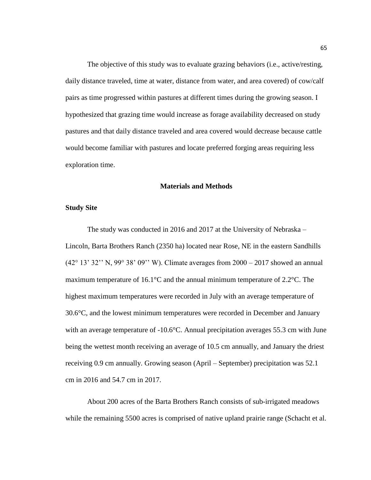The objective of this study was to evaluate grazing behaviors (i.e., active/resting, daily distance traveled, time at water, distance from water, and area covered) of cow/calf pairs as time progressed within pastures at different times during the growing season. I hypothesized that grazing time would increase as forage availability decreased on study pastures and that daily distance traveled and area covered would decrease because cattle would become familiar with pastures and locate preferred forging areas requiring less exploration time.

### **Materials and Methods**

#### **Study Site**

The study was conducted in 2016 and 2017 at the University of Nebraska – Lincoln, Barta Brothers Ranch (2350 ha) located near Rose, NE in the eastern Sandhills (42° 13' 32'' N, 99° 38' 09'' W). Climate averages from 2000 – 2017 showed an annual maximum temperature of 16.1°C and the annual minimum temperature of 2.2°C. The highest maximum temperatures were recorded in July with an average temperature of 30.6°C, and the lowest minimum temperatures were recorded in December and January with an average temperature of -10.6°C. Annual precipitation averages 55.3 cm with June being the wettest month receiving an average of 10.5 cm annually, and January the driest receiving 0.9 cm annually. Growing season (April – September) precipitation was 52.1 cm in 2016 and 54.7 cm in 2017.

About 200 acres of the Barta Brothers Ranch consists of sub-irrigated meadows while the remaining 5500 acres is comprised of native upland prairie range (Schacht et al.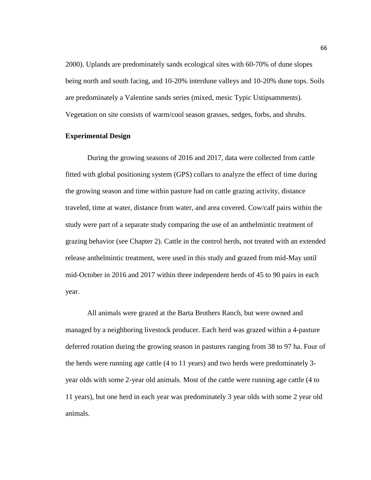2000). Uplands are predominately sands ecological sites with 60-70% of dune slopes being north and south facing, and 10-20% interdune valleys and 10-20% dune tops. Soils are predominately a Valentine sands series (mixed, mesic Typic Ustipsamments). Vegetation on site consists of warm/cool season grasses, sedges, forbs, and shrubs.

### **Experimental Design**

During the growing seasons of 2016 and 2017, data were collected from cattle fitted with global positioning system (GPS) collars to analyze the effect of time during the growing season and time within pasture had on cattle grazing activity, distance traveled, time at water, distance from water, and area covered. Cow/calf pairs within the study were part of a separate study comparing the use of an anthelmintic treatment of grazing behavior (see Chapter 2). Cattle in the control herds, not treated with an extended release anthelmintic treatment, were used in this study and grazed from mid-May until mid-October in 2016 and 2017 within three independent herds of 45 to 90 pairs in each year.

All animals were grazed at the Barta Brothers Ranch, but were owned and managed by a neighboring livestock producer. Each herd was grazed within a 4-pasture deferred rotation during the growing season in pastures ranging from 38 to 97 ha. Four of the herds were running age cattle (4 to 11 years) and two herds were predominately 3 year olds with some 2-year old animals. Most of the cattle were running age cattle (4 to 11 years), but one herd in each year was predominately 3 year olds with some 2 year old animals.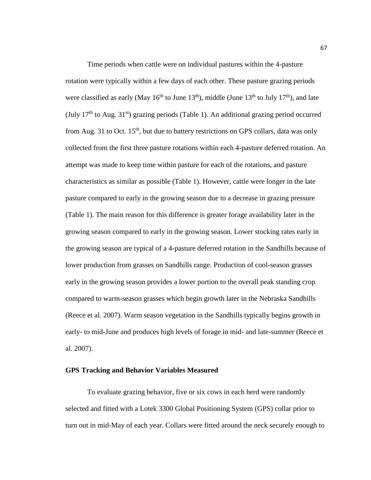Time periods when cattle were on individual pastures within the 4-pasture rotation were typically within a few days of each other. These pasture grazing periods were classified as early (May  $16^{th}$  to June  $13^{th}$ ), middle (June  $13^{th}$  to July  $17^{th}$ ), and late (July  $17<sup>th</sup>$  to Aug.  $31<sup>st</sup>$ ) grazing periods (Table 1). An additional grazing period occurred from Aug. 31 to Oct. 15<sup>th</sup>, but due to battery restrictions on GPS collars, data was only collected from the first three pasture rotations within each 4-pasture deferred rotation. An attempt was made to keep time within pasture for each of the rotations, and pasture characteristics as similar as possible (Table 1). However, cattle were longer in the late pasture compared to early in the growing season due to a decrease in grazing pressure (Table 1). The main reason for this difference is greater forage availability later in the growing season compared to early in the growing season. Lower stocking rates early in the growing season are typical of a 4-pasture deferred rotation in the Sandhills because of lower production from grasses on Sandhills range. Production of cool-season grasses early in the growing season provides a lower portion to the overall peak standing crop compared to warm-season grasses which begin growth later in the Nebraska Sandhills (Reece et al. 2007). Warm season vegetation in the Sandhills typically begins growth in early- to mid-June and produces high levels of forage in mid- and late-summer (Reece et al. 2007).

### **GPS Tracking and Behavior Variables Measured**

To evaluate grazing behavior, five or six cows in each herd were randomly selected and fitted with a Lotek 3300 Global Positioning System (GPS) collar prior to turn out in mid-May of each year. Collars were fitted around the neck securely enough to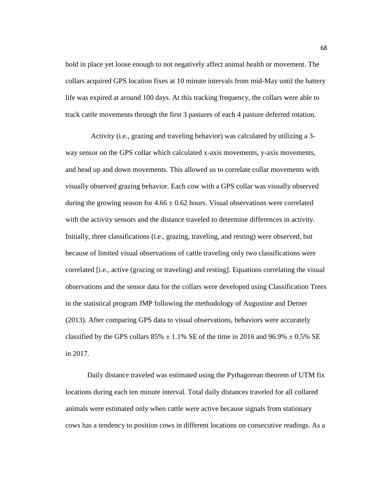hold in place yet loose enough to not negatively affect animal health or movement. The collars acquired GPS location fixes at 10 minute intervals from mid-May until the battery life was expired at around 100 days. At this tracking frequency, the collars were able to track cattle movements through the first 3 pastures of each 4 pasture deferred rotation.

 Activity (i.e., grazing and traveling behavior) was calculated by utilizing a 3 way sensor on the GPS collar which calculated x-axis movements, y-axis movements, and head up and down movements. This allowed us to correlate collar movements with visually observed grazing behavior. Each cow with a GPS collar was visually observed during the growing season for  $4.66 \pm 0.62$  hours. Visual observations were correlated with the activity sensors and the distance traveled to determine differences in activity. Initially, three classifications (i.e., grazing, traveling, and resting) were observed, but because of limited visual observations of cattle traveling only two classifications were correlated [i.e., active (grazing or traveling) and resting]. Equations correlating the visual observations and the sensor data for the collars were developed using Classification Trees in the statistical program JMP following the methodology of Augustine and Derner (2013). After comparing GPS data to visual observations, behaviors were accurately classified by the GPS collars  $85\% \pm 1.1\%$  SE of the time in 2016 and 96.9%  $\pm 0.5\%$  SE in 2017.

Daily distance traveled was estimated using the Pythagorean theorem of UTM fix locations during each ten minute interval. Total daily distances traveled for all collared animals were estimated only when cattle were active because signals from stationary cows has a tendency to position cows in different locations on consecutive readings. As a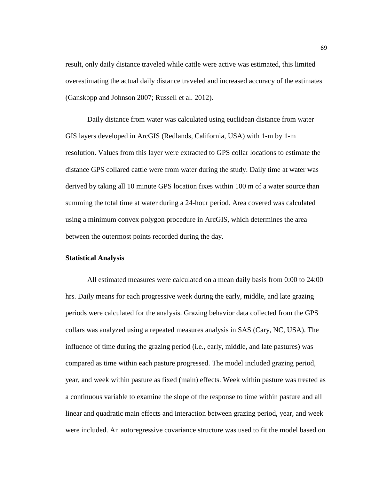result, only daily distance traveled while cattle were active was estimated, this limited overestimating the actual daily distance traveled and increased accuracy of the estimates (Ganskopp and Johnson 2007; Russell et al. 2012).

Daily distance from water was calculated using euclidean distance from water GIS layers developed in ArcGIS (Redlands, California, USA) with 1-m by 1-m resolution. Values from this layer were extracted to GPS collar locations to estimate the distance GPS collared cattle were from water during the study. Daily time at water was derived by taking all 10 minute GPS location fixes within 100 m of a water source than summing the total time at water during a 24-hour period. Area covered was calculated using a minimum convex polygon procedure in ArcGIS, which determines the area between the outermost points recorded during the day.

### **Statistical Analysis**

All estimated measures were calculated on a mean daily basis from 0:00 to 24:00 hrs. Daily means for each progressive week during the early, middle, and late grazing periods were calculated for the analysis. Grazing behavior data collected from the GPS collars was analyzed using a repeated measures analysis in SAS (Cary, NC, USA). The influence of time during the grazing period (i.e., early, middle, and late pastures) was compared as time within each pasture progressed. The model included grazing period, year, and week within pasture as fixed (main) effects. Week within pasture was treated as a continuous variable to examine the slope of the response to time within pasture and all linear and quadratic main effects and interaction between grazing period, year, and week were included. An autoregressive covariance structure was used to fit the model based on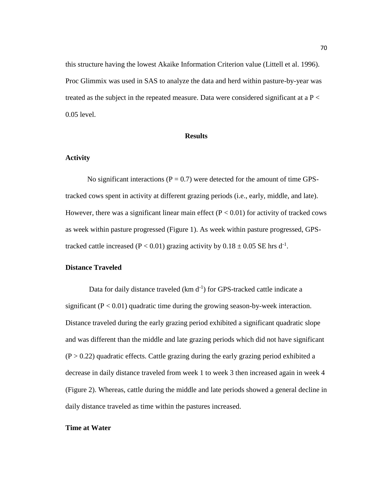this structure having the lowest Akaike Information Criterion value (Littell et al. 1996). Proc Glimmix was used in SAS to analyze the data and herd within pasture-by-year was treated as the subject in the repeated measure. Data were considered significant at a  $P <$ 0.05 level.

#### **Results**

#### **Activity**

No significant interactions ( $P = 0.7$ ) were detected for the amount of time GPStracked cows spent in activity at different grazing periods (i.e., early, middle, and late). However, there was a significant linear main effect ( $P < 0.01$ ) for activity of tracked cows as week within pasture progressed (Figure 1). As week within pasture progressed, GPStracked cattle increased (P < 0.01) grazing activity by  $0.18 \pm 0.05$  SE hrs d<sup>-1</sup>.

# **Distance Traveled**

Data for daily distance traveled (km d<sup>-1</sup>) for GPS-tracked cattle indicate a significant  $(P < 0.01)$  quadratic time during the growing season-by-week interaction. Distance traveled during the early grazing period exhibited a significant quadratic slope and was different than the middle and late grazing periods which did not have significant  $(P > 0.22)$  quadratic effects. Cattle grazing during the early grazing period exhibited a decrease in daily distance traveled from week 1 to week 3 then increased again in week 4 (Figure 2). Whereas, cattle during the middle and late periods showed a general decline in daily distance traveled as time within the pastures increased.

#### **Time at Water**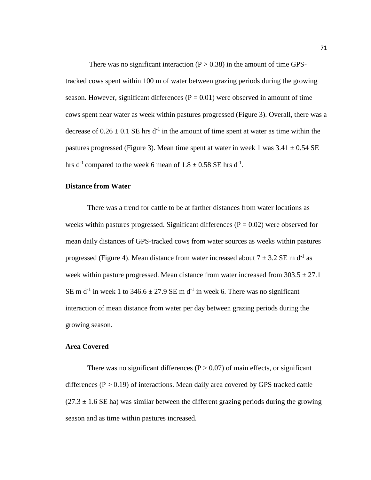There was no significant interaction  $(P > 0.38)$  in the amount of time GPStracked cows spent within 100 m of water between grazing periods during the growing season. However, significant differences  $(P = 0.01)$  were observed in amount of time cows spent near water as week within pastures progressed (Figure 3). Overall, there was a decrease of  $0.26 \pm 0.1$  SE hrs d<sup>-1</sup> in the amount of time spent at water as time within the pastures progressed (Figure 3). Mean time spent at water in week 1 was  $3.41 \pm 0.54$  SE hrs d<sup>-1</sup> compared to the week 6 mean of  $1.8 \pm 0.58$  SE hrs d<sup>-1</sup>.

#### **Distance from Water**

There was a trend for cattle to be at farther distances from water locations as weeks within pastures progressed. Significant differences ( $P = 0.02$ ) were observed for mean daily distances of GPS-tracked cows from water sources as weeks within pastures progressed (Figure 4). Mean distance from water increased about  $7 \pm 3.2$  SE m d<sup>-1</sup> as week within pasture progressed. Mean distance from water increased from  $303.5 \pm 27.1$ SE m d<sup>-1</sup> in week 1 to 346.6  $\pm$  27.9 SE m d<sup>-1</sup> in week 6. There was no significant interaction of mean distance from water per day between grazing periods during the growing season.

### **Area Covered**

There was no significant differences ( $P > 0.07$ ) of main effects, or significant differences  $(P > 0.19)$  of interactions. Mean daily area covered by GPS tracked cattle  $(27.3 \pm 1.6 \text{ SE} \text{ ha})$  was similar between the different grazing periods during the growing season and as time within pastures increased.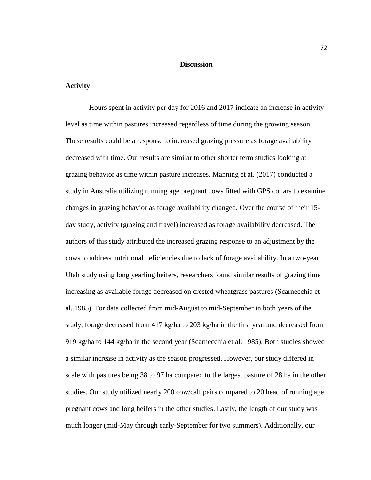#### **Discussion**

## **Activity**

Hours spent in activity per day for 2016 and 2017 indicate an increase in activity level as time within pastures increased regardless of time during the growing season. These results could be a response to increased grazing pressure as forage availability decreased with time. Our results are similar to other shorter term studies looking at grazing behavior as time within pasture increases. Manning et al. (2017) conducted a study in Australia utilizing running age pregnant cows fitted with GPS collars to examine changes in grazing behavior as forage availability changed. Over the course of their 15 day study, activity (grazing and travel) increased as forage availability decreased. The authors of this study attributed the increased grazing response to an adjustment by the cows to address nutritional deficiencies due to lack of forage availability. In a two-year Utah study using long yearling heifers, researchers found similar results of grazing time increasing as available forage decreased on crested wheatgrass pastures (Scarnecchia et al. 1985). For data collected from mid-August to mid-September in both years of the study, forage decreased from 417 kg/ha to 203 kg/ha in the first year and decreased from 919 kg/ha to 144 kg/ha in the second year (Scarnecchia et al. 1985). Both studies showed a similar increase in activity as the season progressed. However, our study differed in scale with pastures being 38 to 97 ha compared to the largest pasture of 28 ha in the other studies. Our study utilized nearly 200 cow/calf pairs compared to 20 head of running age pregnant cows and long heifers in the other studies. Lastly, the length of our study was much longer (mid-May through early-September for two summers). Additionally, our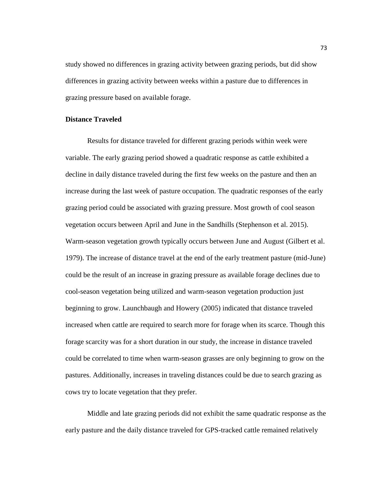study showed no differences in grazing activity between grazing periods, but did show differences in grazing activity between weeks within a pasture due to differences in grazing pressure based on available forage.

#### **Distance Traveled**

Results for distance traveled for different grazing periods within week were variable. The early grazing period showed a quadratic response as cattle exhibited a decline in daily distance traveled during the first few weeks on the pasture and then an increase during the last week of pasture occupation. The quadratic responses of the early grazing period could be associated with grazing pressure. Most growth of cool season vegetation occurs between April and June in the Sandhills (Stephenson et al. 2015). Warm-season vegetation growth typically occurs between June and August (Gilbert et al. 1979). The increase of distance travel at the end of the early treatment pasture (mid-June) could be the result of an increase in grazing pressure as available forage declines due to cool-season vegetation being utilized and warm-season vegetation production just beginning to grow. Launchbaugh and Howery (2005) indicated that distance traveled increased when cattle are required to search more for forage when its scarce. Though this forage scarcity was for a short duration in our study, the increase in distance traveled could be correlated to time when warm-season grasses are only beginning to grow on the pastures. Additionally, increases in traveling distances could be due to search grazing as cows try to locate vegetation that they prefer.

Middle and late grazing periods did not exhibit the same quadratic response as the early pasture and the daily distance traveled for GPS-tracked cattle remained relatively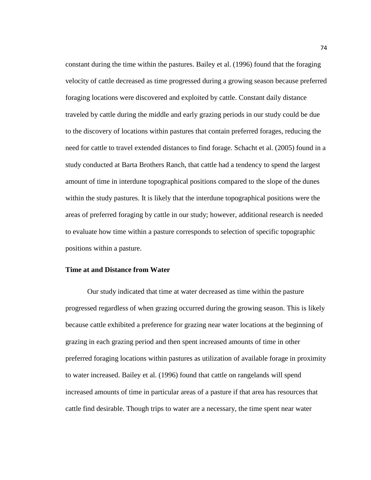constant during the time within the pastures. Bailey et al. (1996) found that the foraging velocity of cattle decreased as time progressed during a growing season because preferred foraging locations were discovered and exploited by cattle. Constant daily distance traveled by cattle during the middle and early grazing periods in our study could be due to the discovery of locations within pastures that contain preferred forages, reducing the need for cattle to travel extended distances to find forage. Schacht et al. (2005) found in a study conducted at Barta Brothers Ranch, that cattle had a tendency to spend the largest amount of time in interdune topographical positions compared to the slope of the dunes within the study pastures. It is likely that the interdune topographical positions were the areas of preferred foraging by cattle in our study; however, additional research is needed to evaluate how time within a pasture corresponds to selection of specific topographic positions within a pasture.

## **Time at and Distance from Water**

Our study indicated that time at water decreased as time within the pasture progressed regardless of when grazing occurred during the growing season. This is likely because cattle exhibited a preference for grazing near water locations at the beginning of grazing in each grazing period and then spent increased amounts of time in other preferred foraging locations within pastures as utilization of available forage in proximity to water increased. Bailey et al. (1996) found that cattle on rangelands will spend increased amounts of time in particular areas of a pasture if that area has resources that cattle find desirable. Though trips to water are a necessary, the time spent near water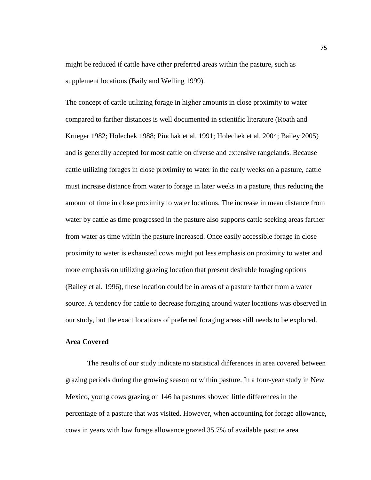might be reduced if cattle have other preferred areas within the pasture, such as supplement locations (Baily and Welling 1999).

The concept of cattle utilizing forage in higher amounts in close proximity to water compared to farther distances is well documented in scientific literature (Roath and Krueger 1982; Holechek 1988; Pinchak et al. 1991; Holechek et al. 2004; Bailey 2005) and is generally accepted for most cattle on diverse and extensive rangelands. Because cattle utilizing forages in close proximity to water in the early weeks on a pasture, cattle must increase distance from water to forage in later weeks in a pasture, thus reducing the amount of time in close proximity to water locations. The increase in mean distance from water by cattle as time progressed in the pasture also supports cattle seeking areas farther from water as time within the pasture increased. Once easily accessible forage in close proximity to water is exhausted cows might put less emphasis on proximity to water and more emphasis on utilizing grazing location that present desirable foraging options (Bailey et al. 1996), these location could be in areas of a pasture farther from a water source. A tendency for cattle to decrease foraging around water locations was observed in our study, but the exact locations of preferred foraging areas still needs to be explored.

#### **Area Covered**

The results of our study indicate no statistical differences in area covered between grazing periods during the growing season or within pasture. In a four-year study in New Mexico, young cows grazing on 146 ha pastures showed little differences in the percentage of a pasture that was visited. However, when accounting for forage allowance, cows in years with low forage allowance grazed 35.7% of available pasture area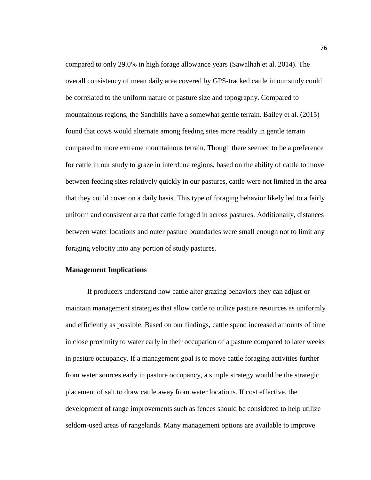compared to only 29.0% in high forage allowance years (Sawalhah et al. 2014). The overall consistency of mean daily area covered by GPS-tracked cattle in our study could be correlated to the uniform nature of pasture size and topography. Compared to mountainous regions, the Sandhills have a somewhat gentle terrain. Bailey et al. (2015) found that cows would alternate among feeding sites more readily in gentle terrain compared to more extreme mountainous terrain. Though there seemed to be a preference for cattle in our study to graze in interdune regions, based on the ability of cattle to move between feeding sites relatively quickly in our pastures, cattle were not limited in the area that they could cover on a daily basis. This type of foraging behavior likely led to a fairly uniform and consistent area that cattle foraged in across pastures. Additionally, distances between water locations and outer pasture boundaries were small enough not to limit any foraging velocity into any portion of study pastures.

# **Management Implications**

If producers understand how cattle alter grazing behaviors they can adjust or maintain management strategies that allow cattle to utilize pasture resources as uniformly and efficiently as possible. Based on our findings, cattle spend increased amounts of time in close proximity to water early in their occupation of a pasture compared to later weeks in pasture occupancy. If a management goal is to move cattle foraging activities further from water sources early in pasture occupancy, a simple strategy would be the strategic placement of salt to draw cattle away from water locations. If cost effective, the development of range improvements such as fences should be considered to help utilize seldom-used areas of rangelands. Many management options are available to improve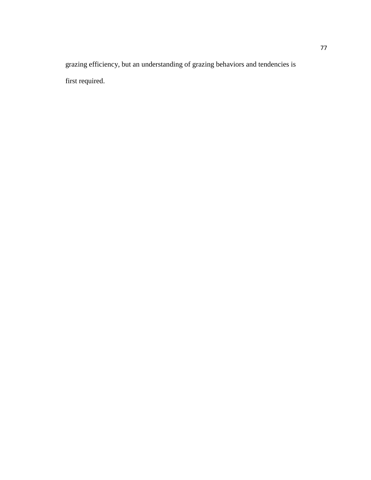grazing efficiency, but an understanding of grazing behaviors and tendencies is first required.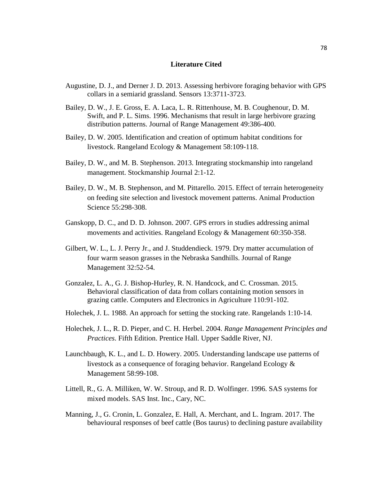#### **Literature Cited**

- Augustine, D. J., and Derner J. D. 2013. Assessing herbivore foraging behavior with GPS collars in a semiarid grassland. Sensors 13:3711-3723.
- Bailey, D. W., J. E. Gross, E. A. Laca, L. R. Rittenhouse, M. B. Coughenour, D. M. Swift, and P. L. Sims. 1996. Mechanisms that result in large herbivore grazing distribution patterns. Journal of Range Management 49:386-400.
- Bailey, D. W. 2005. Identification and creation of optimum habitat conditions for livestock. Rangeland Ecology & Management 58:109-118.
- Bailey, D. W., and M. B. Stephenson. 2013. Integrating stockmanship into rangeland management. Stockmanship Journal 2:1-12.
- Bailey, D. W., M. B. Stephenson, and M. Pittarello. 2015. Effect of terrain heterogeneity on feeding site selection and livestock movement patterns. Animal Production Science 55:298-308.
- Ganskopp, D. C., and D. D. Johnson. 2007. GPS errors in studies addressing animal movements and activities. Rangeland Ecology & Management 60:350-358.
- Gilbert, W. L., L. J. Perry Jr., and J. Studdendieck. 1979. Dry matter accumulation of four warm season grasses in the Nebraska Sandhills. Journal of Range Management 32:52-54.
- Gonzalez, L. A., G. J. Bishop-Hurley, R. N. Handcock, and C. Crossman. 2015. Behavioral classification of data from collars containing motion sensors in grazing cattle. Computers and Electronics in Agriculture 110:91-102.
- Holechek, J. L. 1988. An approach for setting the stocking rate. Rangelands 1:10-14.
- Holechek, J. L., R. D. Pieper, and C. H. Herbel. 2004. *Range Management Principles and Practices*. Fifth Edition. Prentice Hall. Upper Saddle River, NJ.
- Launchbaugh, K. L., and L. D. Howery. 2005. Understanding landscape use patterns of livestock as a consequence of foraging behavior. Rangeland Ecology & Management 58:99-108.
- Littell, R., G. A. Milliken, W. W. Stroup, and R. D. Wolfinger. 1996. SAS systems for mixed models. SAS Inst. Inc., Cary, NC.
- Manning, J., G. Cronin, L. Gonzalez, E. Hall, A. Merchant, and L. Ingram. 2017. The behavioural responses of beef cattle (Bos taurus) to declining pasture availability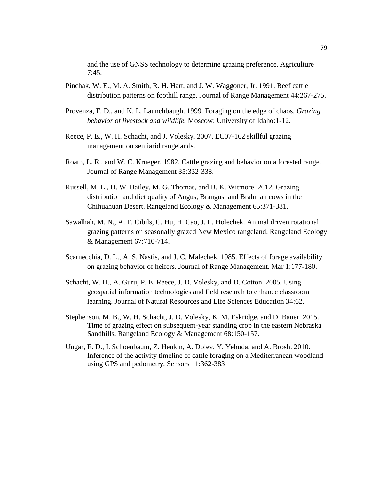and the use of GNSS technology to determine grazing preference. Agriculture 7:45.

- Pinchak, W. E., M. A. Smith, R. H. Hart, and J. W. Waggoner, Jr. 1991. Beef cattle distribution patterns on foothill range. Journal of Range Management 44:267-275.
- Provenza, F. D., and K. L. Launchbaugh. 1999. Foraging on the edge of chaos. *Grazing behavior of livestock and wildlife.* Moscow: University of Idaho:1-12.
- Reece, P. E., W. H. Schacht, and J. Volesky. 2007. EC07-162 skillful grazing management on semiarid rangelands.
- Roath, L. R., and W. C. Krueger. 1982. Cattle grazing and behavior on a forested range. Journal of Range Management 35:332-338.
- Russell, M. L., D. W. Bailey, M. G. Thomas, and B. K. Witmore. 2012. Grazing distribution and diet quality of Angus, Brangus, and Brahman cows in the Chihuahuan Desert. Rangeland Ecology & Management 65:371-381.
- Sawalhah, M. N., A. F. Cibils, C. Hu, H. Cao, J. L. Holechek. Animal driven rotational grazing patterns on seasonally grazed New Mexico rangeland. Rangeland Ecology & Management 67:710-714.
- Scarnecchia, D. L., A. S. Nastis, and J. C. Malechek. 1985. Effects of forage availability on grazing behavior of heifers. Journal of Range Management. Mar 1:177-180.
- Schacht, W. H., A. Guru, P. E. Reece, J. D. Volesky, and D. Cotton. 2005. Using geospatial information technologies and field research to enhance classroom learning. Journal of Natural Resources and Life Sciences Education 34:62.
- Stephenson, M. B., W. H. Schacht, J. D. Volesky, K. M. Eskridge, and D. Bauer. 2015. Time of grazing effect on subsequent-year standing crop in the eastern Nebraska Sandhills. Rangeland Ecology & Management 68:150-157.
- Ungar, E. D., I. Schoenbaum, Z. Henkin, A. Dolev, Y. Yehuda, and A. Brosh. 2010. Inference of the activity timeline of cattle foraging on a Mediterranean woodland using GPS and pedometry. Sensors 11:362-383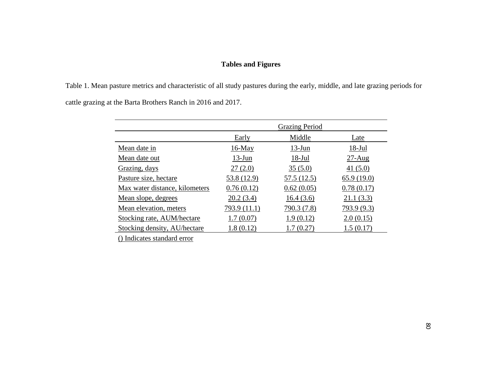# **Tables and Figures**

Table 1. Mean pasture metrics and characteristic of all study pastures during the early, middle, and late grazing periods for cattle grazing at the Barta Brothers Ranch in 2016 and 2017.

|                                | <b>Grazing Period</b> |             |             |
|--------------------------------|-----------------------|-------------|-------------|
|                                | Early                 | Middle      | Late        |
| Mean date in                   | $16$ -May             | $13-Jun$    | $18-Jul$    |
| Mean date out                  | $13$ -Jun             | $18-Jul$    | $27-Aug$    |
| Grazing, days                  | 27(2.0)               | 35(5.0)     | 41 $(5.0)$  |
| Pasture size, hectare          | 53.8 (12.9)           | 57.5 (12.5) | 65.9(19.0)  |
| Max water distance, kilometers | 0.76(0.12)            | 0.62(0.05)  | 0.78(0.17)  |
| <u>Mean slope, degrees</u>     | 20.2(3.4)             | 16.4(3.6)   | 21.1(3.3)   |
| Mean elevation, meters         | 793.9 (11.1)          | 790.3 (7.8) | 793.9 (9.3) |
| Stocking rate, AUM/hectare     | 1.7(0.07)             | 1.9(0.12)   | 2.0(0.15)   |
| Stocking density, AU/hectare   | 1.8(0.12)             | 1.7(0.27)   | 1.5(0.17)   |

() Indicates standard error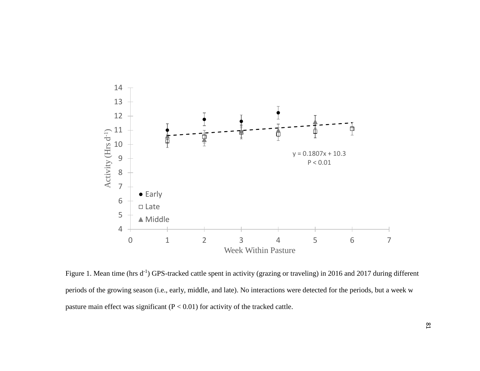

Figure 1. Mean time (hrs  $d^{-1}$ ) GPS-tracked cattle spent in activity (grazing or traveling) in 2016 and 2017 during different periods of the growing season (i.e., early, middle, and late). No interactions were detected for the periods, but a week w pasture main effect was significant  $(P < 0.01)$  for activity of the tracked cattle.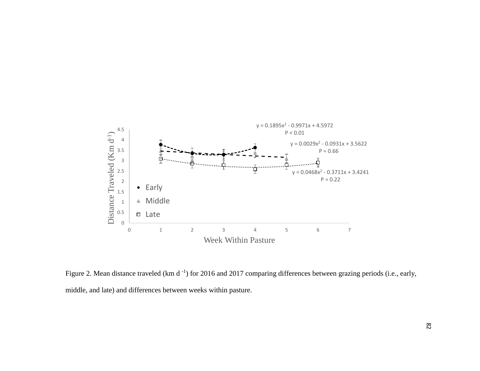

Figure 2. Mean distance traveled (km d<sup>-1</sup>) for 2016 and 2017 comparing differences between grazing periods (i.e., early, middle, and late) and differences between weeks within pasture.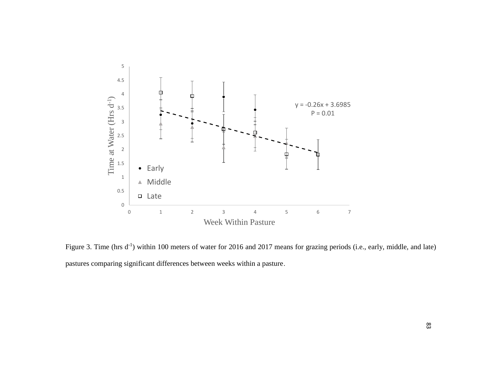

Figure 3. Time (hrs  $d^{-1}$ ) within 100 meters of water for 2016 and 2017 means for grazing periods (i.e., early, middle, and late) pastures comparing significant differences between weeks within a pasture.